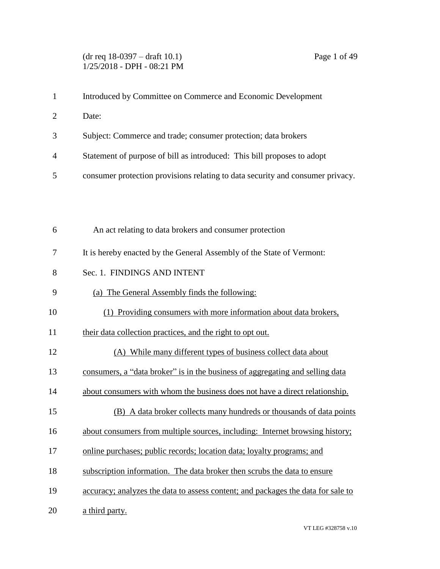## (dr req 18-0397 – draft 10.1) Page 1 of 49 1/25/2018 - DPH - 08:21 PM

| $\mathbf{1}$   | Introduced by Committee on Commerce and Economic Development                     |
|----------------|----------------------------------------------------------------------------------|
| $\overline{c}$ | Date:                                                                            |
| 3              | Subject: Commerce and trade; consumer protection; data brokers                   |
| 4              | Statement of purpose of bill as introduced: This bill proposes to adopt          |
| 5              | consumer protection provisions relating to data security and consumer privacy.   |
|                |                                                                                  |
|                |                                                                                  |
| 6              | An act relating to data brokers and consumer protection                          |
| 7              | It is hereby enacted by the General Assembly of the State of Vermont:            |
| 8              | Sec. 1. FINDINGS AND INTENT                                                      |
| 9              | (a) The General Assembly finds the following:                                    |
| 10             | (1) Providing consumers with more information about data brokers,                |
| 11             | their data collection practices, and the right to opt out.                       |
| 12             | (A) While many different types of business collect data about                    |
| 13             | consumers, a "data broker" is in the business of aggregating and selling data    |
| 14             | about consumers with whom the business does not have a direct relationship.      |
| 15             | (B) A data broker collects many hundreds or thousands of data points             |
| 16             | about consumers from multiple sources, including: Internet browsing history;     |
| 17             | online purchases; public records; location data; loyalty programs; and           |
| 18             | subscription information. The data broker then scrubs the data to ensure         |
| 19             | accuracy; analyzes the data to assess content; and packages the data for sale to |
|                |                                                                                  |

20 a third party.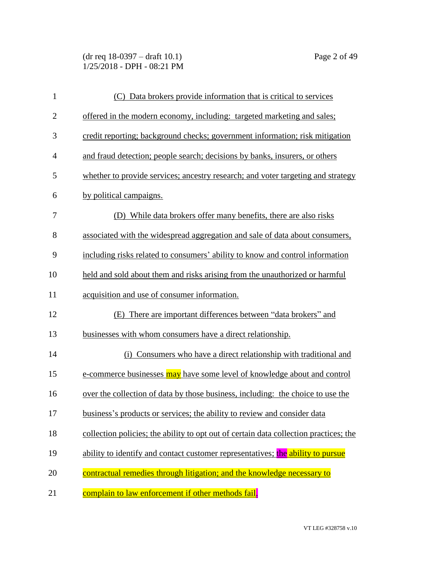(dr req 18-0397 – draft 10.1) Page 2 of 49 1/25/2018 - DPH - 08:21 PM

| $\mathbf{1}$   | (C) Data brokers provide information that is critical to services                     |
|----------------|---------------------------------------------------------------------------------------|
| $\overline{2}$ | offered in the modern economy, including: targeted marketing and sales;               |
| 3              | credit reporting; background checks; government information; risk mitigation          |
| $\overline{4}$ | and fraud detection; people search; decisions by banks, insurers, or others           |
| 5              | whether to provide services; ancestry research; and voter targeting and strategy      |
| 6              | by political campaigns.                                                               |
| 7              | (D) While data brokers offer many benefits, there are also risks                      |
| 8              | associated with the widespread aggregation and sale of data about consumers,          |
| 9              | including risks related to consumers' ability to know and control information         |
| 10             | held and sold about them and risks arising from the unauthorized or harmful           |
| 11             | acquisition and use of consumer information.                                          |
| 12             | (E) There are important differences between "data brokers" and                        |
| 13             | businesses with whom consumers have a direct relationship.                            |
| 14             | (i) Consumers who have a direct relationship with traditional and                     |
| 15             | e-commerce businesses may have some level of knowledge about and control              |
| 16             | over the collection of data by those business, including: the choice to use the       |
| 17             | business's products or services; the ability to review and consider data              |
| 18             | collection policies; the ability to opt out of certain data collection practices; the |
| 19             | ability to identify and contact customer representatives; the ability to pursue       |
| 20             | contractual remedies through litigation; and the knowledge necessary to               |
| 21             | complain to law enforcement if other methods fail.                                    |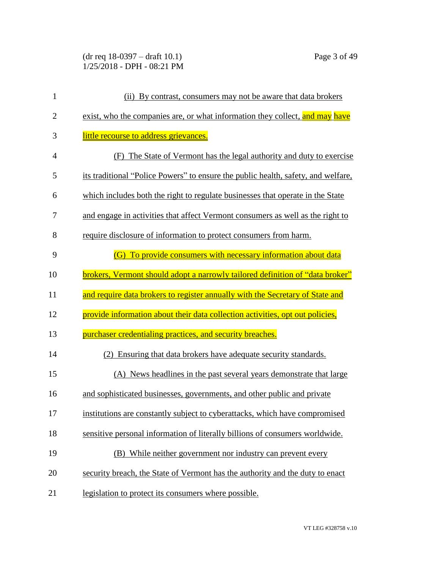(dr req 18-0397 – draft 10.1) Page 3 of 49 1/25/2018 - DPH - 08:21 PM

| 1              | (ii) By contrast, consumers may not be aware that data brokers                    |
|----------------|-----------------------------------------------------------------------------------|
| $\mathbf{2}$   | exist, who the companies are, or what information they collect, and may have      |
| 3              | little recourse to address grievances.                                            |
| $\overline{4}$ | (F) The State of Vermont has the legal authority and duty to exercise             |
| 5              | its traditional "Police Powers" to ensure the public health, safety, and welfare, |
| 6              | which includes both the right to regulate businesses that operate in the State    |
| 7              | and engage in activities that affect Vermont consumers as well as the right to    |
| 8              | require disclosure of information to protect consumers from harm.                 |
| 9              | (G) To provide consumers with necessary information about data                    |
| 10             | brokers, Vermont should adopt a narrowly tailored definition of "data broker"     |
| 11             | and require data brokers to register annually with the Secretary of State and     |
| 12             | provide information about their data collection activities, opt out policies,     |
| 13             | purchaser credentialing practices, and security breaches.                         |
| 14             | (2) Ensuring that data brokers have adequate security standards.                  |
| 15             | (A) News headlines in the past several years demonstrate that large               |
| 16             | and sophisticated businesses, governments, and other public and private           |
| 17             | institutions are constantly subject to cyberattacks, which have compromised       |
| 18             | sensitive personal information of literally billions of consumers worldwide.      |
| 19             | (B) While neither government nor industry can prevent every                       |
| 20             | security breach, the State of Vermont has the authority and the duty to enact     |
| 21             | legislation to protect its consumers where possible.                              |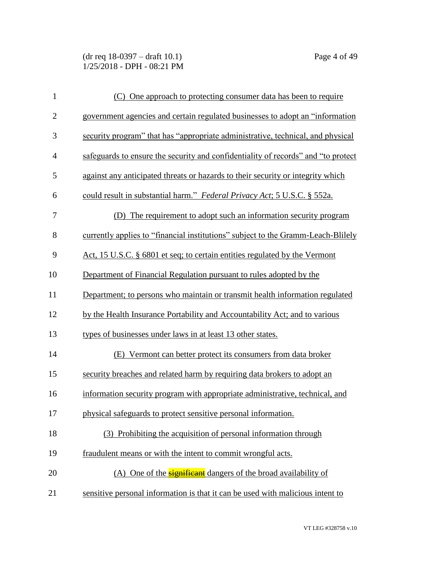(dr req 18-0397 – draft 10.1) Page 4 of 49 1/25/2018 - DPH - 08:21 PM

| $\mathbf{1}$   | (C) One approach to protecting consumer data has been to require                  |
|----------------|-----------------------------------------------------------------------------------|
| $\mathbf{2}$   | government agencies and certain regulated businesses to adopt an "information     |
| 3              | security program" that has "appropriate administrative, technical, and physical   |
| $\overline{4}$ | safeguards to ensure the security and confidentiality of records" and "to protect |
| 5              | against any anticipated threats or hazards to their security or integrity which   |
| 6              | could result in substantial harm." Federal Privacy Act; 5 U.S.C. § 552a.          |
| $\tau$         | (D) The requirement to adopt such an information security program                 |
| 8              | currently applies to "financial institutions" subject to the Gramm-Leach-Blilely  |
| 9              | Act, 15 U.S.C. § 6801 et seq; to certain entities regulated by the Vermont        |
| 10             | Department of Financial Regulation pursuant to rules adopted by the               |
| 11             | Department; to persons who maintain or transmit health information regulated      |
| 12             | by the Health Insurance Portability and Accountability Act; and to various        |
| 13             | types of businesses under laws in at least 13 other states.                       |
| 14             | (E) Vermont can better protect its consumers from data broker                     |
| 15             | security breaches and related harm by requiring data brokers to adopt an          |
| 16             | information security program with appropriate administrative, technical, and      |
| 17             | physical safeguards to protect sensitive personal information.                    |
| 18             | (3) Prohibiting the acquisition of personal information through                   |
| 19             | fraudulent means or with the intent to commit wrongful acts.                      |
| 20             | (A) One of the <b>significant</b> dangers of the broad availability of            |
| 21             | sensitive personal information is that it can be used with malicious intent to    |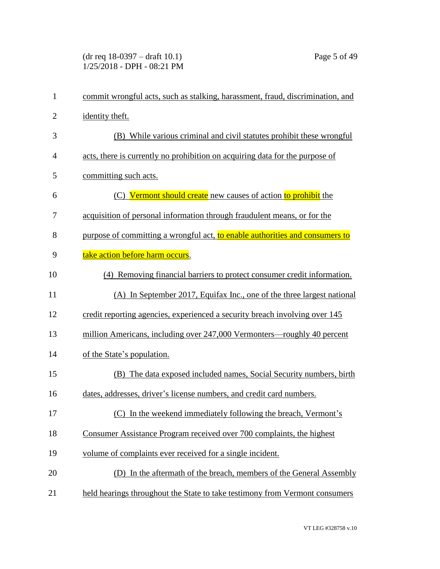(dr req 18-0397 – draft 10.1) Page 5 of 49 1/25/2018 - DPH - 08:21 PM

| $\mathbf{1}$   | commit wrongful acts, such as stalking, harassment, fraud, discrimination, and |
|----------------|--------------------------------------------------------------------------------|
| $\overline{2}$ | identity theft.                                                                |
| 3              | (B) While various criminal and civil statutes prohibit these wrongful          |
| $\overline{4}$ | acts, there is currently no prohibition on acquiring data for the purpose of   |
| 5              | committing such acts.                                                          |
| 6              | (C) Vermont should create new causes of action to prohibit the                 |
| 7              | acquisition of personal information through fraudulent means, or for the       |
| 8              | purpose of committing a wrongful act, to enable authorities and consumers to   |
| 9              | take action before harm occurs.                                                |
| 10             | (4) Removing financial barriers to protect consumer credit information.        |
| 11             | (A) In September 2017, Equifax Inc., one of the three largest national         |
| 12             | credit reporting agencies, experienced a security breach involving over 145    |
| 13             | million Americans, including over 247,000 Vermonters—roughly 40 percent        |
| 14             | of the State's population.                                                     |
| 15             | (B) The data exposed included names, Social Security numbers, birth            |
| 16             | dates, addresses, driver's license numbers, and credit card numbers.           |
| 17             | (C) In the weekend immediately following the breach, Vermont's                 |
| 18             | Consumer Assistance Program received over 700 complaints, the highest          |
| 19             | volume of complaints ever received for a single incident.                      |
| 20             | (D) In the aftermath of the breach, members of the General Assembly            |
| 21             | held hearings throughout the State to take testimony from Vermont consumers    |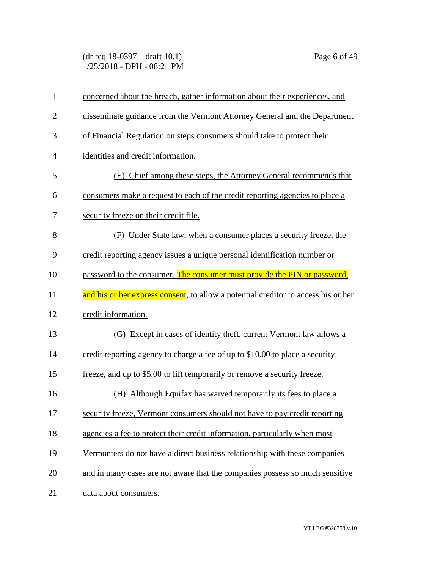(dr req 18-0397 – draft 10.1) Page 6 of 49 1/25/2018 - DPH - 08:21 PM

| $\mathbf{1}$   | concerned about the breach, gather information about their experiences, and        |
|----------------|------------------------------------------------------------------------------------|
| $\overline{2}$ | disseminate guidance from the Vermont Attorney General and the Department          |
| 3              | of Financial Regulation on steps consumers should take to protect their            |
| $\overline{4}$ | identities and credit information.                                                 |
| 5              | (E) Chief among these steps, the Attorney General recommends that                  |
| 6              | consumers make a request to each of the credit reporting agencies to place a       |
| 7              | security freeze on their credit file.                                              |
| 8              | (F) Under State law, when a consumer places a security freeze, the                 |
| 9              | credit reporting agency issues a unique personal identification number or          |
| 10             | password to the consumer. The consumer must provide the PIN or password,           |
| 11             | and his or her express consent, to allow a potential creditor to access his or her |
| 12             | credit information.                                                                |
| 13             | (G) Except in cases of identity theft, current Vermont law allows a                |
| 14             | credit reporting agency to charge a fee of up to \$10.00 to place a security       |
| 15             | freeze, and up to \$5.00 to lift temporarily or remove a security freeze.          |
| 16             | (H) Although Equifax has waived temporarily its fees to place a                    |
| 17             | security freeze, Vermont consumers should not have to pay credit reporting         |
| 18             | agencies a fee to protect their credit information, particularly when most         |
| 19             | Vermonters do not have a direct business relationship with these companies         |
| 20             | and in many cases are not aware that the companies possess so much sensitive       |
| 21             | data about consumers.                                                              |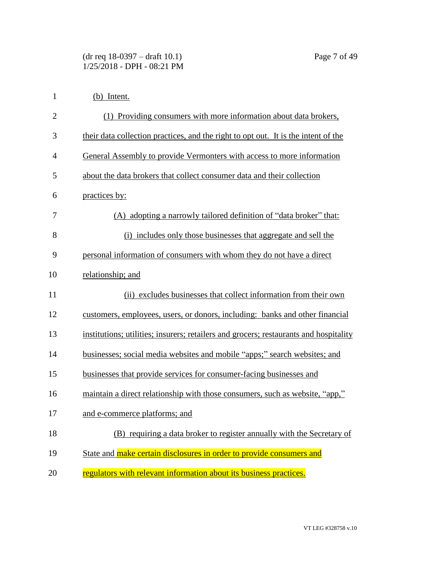| $\mathbf{1}$   | (b) Intent.                                                                           |
|----------------|---------------------------------------------------------------------------------------|
| $\overline{2}$ | (1) Providing consumers with more information about data brokers,                     |
| 3              | their data collection practices, and the right to opt out. It is the intent of the    |
| 4              | General Assembly to provide Vermonters with access to more information                |
| 5              | about the data brokers that collect consumer data and their collection                |
| 6              | practices by:                                                                         |
| 7              | (A) adopting a narrowly tailored definition of "data broker" that:                    |
| 8              | (i) includes only those businesses that aggregate and sell the                        |
| 9              | personal information of consumers with whom they do not have a direct                 |
| 10             | relationship; and                                                                     |
| 11             | (ii) excludes businesses that collect information from their own                      |
| 12             | customers, employees, users, or donors, including: banks and other financial          |
| 13             | institutions; utilities; insurers; retailers and grocers; restaurants and hospitality |
| 14             | businesses; social media websites and mobile "apps;" search websites; and             |
| 15             | businesses that provide services for consumer-facing businesses and                   |
| 16             | maintain a direct relationship with those consumers, such as website, "app,"          |
| 17             | and e-commerce platforms; and                                                         |
| 18             | (B) requiring a data broker to register annually with the Secretary of                |
| 19             | State and make certain disclosures in order to provide consumers and                  |
| 20             | regulators with relevant information about its business practices.                    |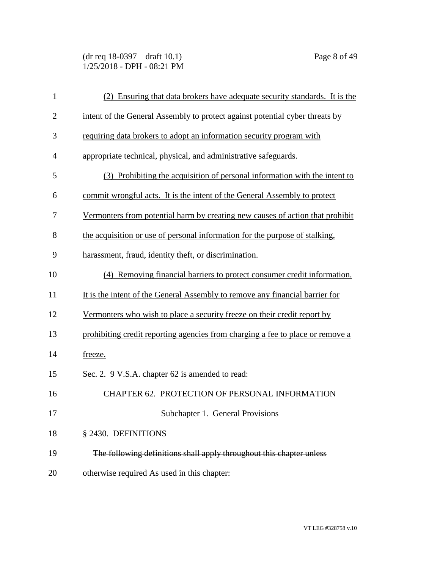(dr req 18-0397 – draft 10.1) Page 8 of 49 1/25/2018 - DPH - 08:21 PM

| $\mathbf{1}$   | (2) Ensuring that data brokers have adequate security standards. It is the     |
|----------------|--------------------------------------------------------------------------------|
| $\overline{2}$ | intent of the General Assembly to protect against potential cyber threats by   |
| 3              | requiring data brokers to adopt an information security program with           |
| $\overline{4}$ | appropriate technical, physical, and administrative safeguards.                |
| 5              | (3) Prohibiting the acquisition of personal information with the intent to     |
| 6              | commit wrongful acts. It is the intent of the General Assembly to protect      |
| 7              | Vermonters from potential harm by creating new causes of action that prohibit  |
| 8              | the acquisition or use of personal information for the purpose of stalking,    |
| 9              | harassment, fraud, identity theft, or discrimination.                          |
| 10             | (4) Removing financial barriers to protect consumer credit information.        |
| 11             | It is the intent of the General Assembly to remove any financial barrier for   |
| 12             | Vermonters who wish to place a security freeze on their credit report by       |
| 13             | prohibiting credit reporting agencies from charging a fee to place or remove a |
| 14             | freeze.                                                                        |
| 15             | Sec. 2. 9 V.S.A. chapter 62 is amended to read:                                |
| 16             | CHAPTER 62. PROTECTION OF PERSONAL INFORMATION                                 |
| 17             | Subchapter 1. General Provisions                                               |
| 18             | § 2430. DEFINITIONS                                                            |
| 19             | The following definitions shall apply throughout this chapter unless           |
| 20             | otherwise required As used in this chapter:                                    |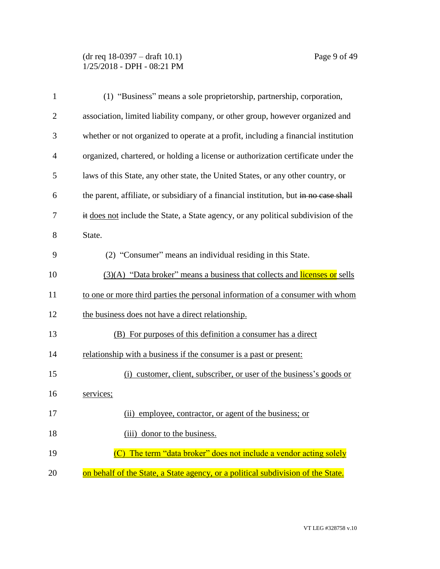(dr req 18-0397 – draft 10.1) Page 9 of 49 1/25/2018 - DPH - 08:21 PM

| $\mathbf{1}$   | (1) "Business" means a sole proprietorship, partnership, corporation,                 |
|----------------|---------------------------------------------------------------------------------------|
| $\overline{2}$ | association, limited liability company, or other group, however organized and         |
| 3              | whether or not organized to operate at a profit, including a financial institution    |
| $\overline{4}$ | organized, chartered, or holding a license or authorization certificate under the     |
| 5              | laws of this State, any other state, the United States, or any other country, or      |
| 6              | the parent, affiliate, or subsidiary of a financial institution, but in no case shall |
| 7              | it does not include the State, a State agency, or any political subdivision of the    |
| 8              | State.                                                                                |
| 9              | (2) "Consumer" means an individual residing in this State.                            |
| 10             | $(3)(A)$ "Data broker" means a business that collects and licenses or sells           |
| 11             | to one or more third parties the personal information of a consumer with whom         |
| 12             | the business does not have a direct relationship.                                     |
| 13             | (B) For purposes of this definition a consumer has a direct                           |
| 14             | relationship with a business if the consumer is a past or present:                    |
| 15             | (i) customer, client, subscriber, or user of the business's goods or                  |
| 16             | services;                                                                             |
| 17             | (ii) employee, contractor, or agent of the business; or                               |
| 18             | (iii) donor to the business.                                                          |
| 19             | The term "data broker" does not include a vendor acting solely                        |
| 20             | on behalf of the State, a State agency, or a political subdivision of the State.      |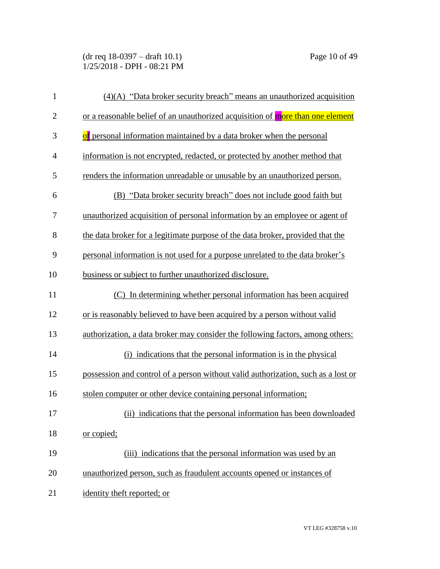(dr req 18-0397 – draft 10.1) Page 10 of 49 1/25/2018 - DPH - 08:21 PM

| $\mathbf{1}$   | $(4)(A)$ "Data broker security breach" means an unauthorized acquisition          |
|----------------|-----------------------------------------------------------------------------------|
| $\mathbf{2}$   | or a reasonable belief of an unauthorized acquisition of more than one element    |
| 3              | of personal information maintained by a data broker when the personal             |
| $\overline{4}$ | information is not encrypted, redacted, or protected by another method that       |
| 5              | renders the information unreadable or unusable by an unauthorized person.         |
| 6              | (B) "Data broker security breach" does not include good faith but                 |
| 7              | unauthorized acquisition of personal information by an employee or agent of       |
| 8              | the data broker for a legitimate purpose of the data broker, provided that the    |
| 9              | personal information is not used for a purpose unrelated to the data broker's     |
| 10             | business or subject to further unauthorized disclosure.                           |
| 11             | (C) In determining whether personal information has been acquired                 |
| 12             | or is reasonably believed to have been acquired by a person without valid         |
| 13             | authorization, a data broker may consider the following factors, among others:    |
| 14             | (i) indications that the personal information is in the physical                  |
| 15             | possession and control of a person without valid authorization, such as a lost or |
| 16             | stolen computer or other device containing personal information;                  |
| 17             | (ii) indications that the personal information has been downloaded                |
| 18             | or copied;                                                                        |
| 19             | (iii) indications that the personal information was used by an                    |
| 20             | unauthorized person, such as fraudulent accounts opened or instances of           |
| 21             | identity theft reported; or                                                       |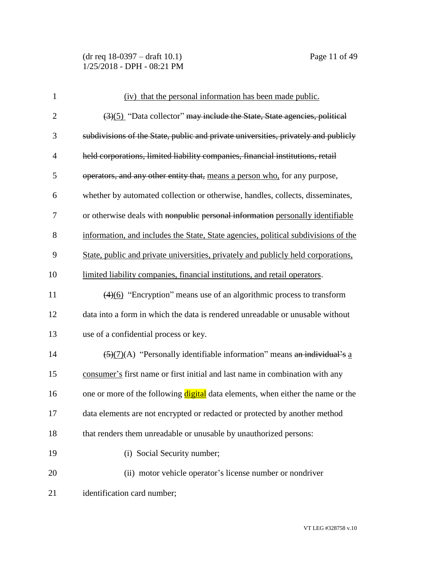(dr req 18-0397 – draft 10.1) Page 11 of 49 1/25/2018 - DPH - 08:21 PM

| $\mathbf{1}$   | (iv) that the personal information has been made public.                                     |
|----------------|----------------------------------------------------------------------------------------------|
| $\overline{2}$ | $\left(\frac{3}{5}\right)$ "Data collector" may include the State, State agencies, political |
| 3              | subdivisions of the State, public and private universities, privately and publicly           |
| $\overline{4}$ | held corporations, limited liability companies, financial institutions, retail               |
| 5              | operators, and any other entity that, means a person who, for any purpose,                   |
| 6              | whether by automated collection or otherwise, handles, collects, disseminates,               |
| 7              | or otherwise deals with nonpublic personal information personally identifiable               |
| 8              | information, and includes the State, State agencies, political subdivisions of the           |
| 9              | State, public and private universities, privately and publicly held corporations,            |
| 10             | limited liability companies, financial institutions, and retail operators.                   |
| 11             | $\left(\frac{4}{6}\right)$ "Encryption" means use of an algorithmic process to transform     |
| 12             | data into a form in which the data is rendered unreadable or unusable without                |
| 13             | use of a confidential process or key.                                                        |
| 14             | $\frac{5}{(2)}$ (A) "Personally identifiable information" means an individual's a            |
| 15             | consumer's first name or first initial and last name in combination with any                 |
| 16             | one or more of the following digital data elements, when either the name or the              |
| 17             | data elements are not encrypted or redacted or protected by another method                   |
| 18             | that renders them unreadable or unusable by unauthorized persons:                            |
| 19             | (i) Social Security number;                                                                  |
| 20             | (ii) motor vehicle operator's license number or nondriver                                    |
| 21             | identification card number;                                                                  |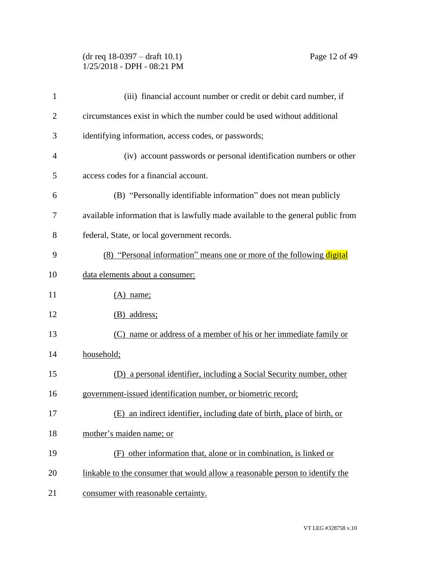### (dr req 18-0397 – draft 10.1) Page 12 of 49 1/25/2018 - DPH - 08:21 PM

| $\mathbf{1}$   | (iii) financial account number or credit or debit card number, if                |
|----------------|----------------------------------------------------------------------------------|
| $\overline{2}$ | circumstances exist in which the number could be used without additional         |
| 3              | identifying information, access codes, or passwords;                             |
| $\overline{4}$ | (iv) account passwords or personal identification numbers or other               |
| 5              | access codes for a financial account.                                            |
| 6              | (B) "Personally identifiable information" does not mean publicly                 |
| 7              | available information that is lawfully made available to the general public from |
| 8              | federal, State, or local government records.                                     |
| 9              | (8) "Personal information" means one or more of the following digital            |
| 10             | data elements about a consumer:                                                  |
| 11             | $(A)$ name;                                                                      |
| 12             | (B) address;                                                                     |
| 13             | name or address of a member of his or her immediate family or<br>(C)             |
| 14             | household;                                                                       |
| 15             | (D) a personal identifier, including a Social Security number, other             |
| 16             | government-issued identification number, or biometric record;                    |
| 17             | (E) an indirect identifier, including date of birth, place of birth, or          |
| 18             | mother's maiden name; or                                                         |
| 19             | (F) other information that, alone or in combination, is linked or                |
| 20             | linkable to the consumer that would allow a reasonable person to identify the    |
| 21             | consumer with reasonable certainty.                                              |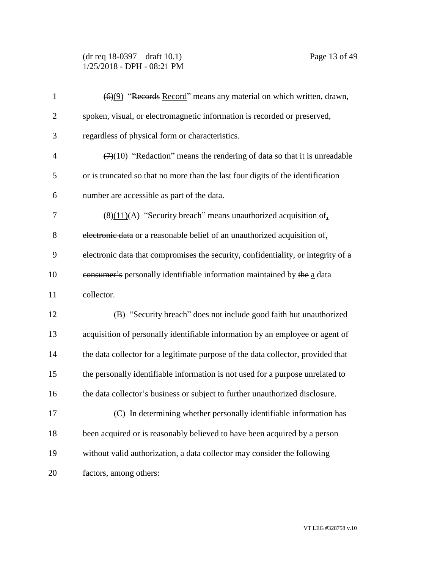(dr req 18-0397 – draft 10.1) Page 13 of 49 1/25/2018 - DPH - 08:21 PM

| $\mathbf{1}$   | (6)(9) "Records Record" means any material on which written, drawn,                          |
|----------------|----------------------------------------------------------------------------------------------|
| $\overline{c}$ | spoken, visual, or electromagnetic information is recorded or preserved,                     |
| 3              | regardless of physical form or characteristics.                                              |
| $\overline{4}$ | $\left(\frac{7}{10}\right)$ "Redaction" means the rendering of data so that it is unreadable |
| 5              | or is truncated so that no more than the last four digits of the identification              |
| 6              | number are accessible as part of the data.                                                   |
| 7              | $\frac{1}{2}(8)(11)(A)$ "Security breach" means unauthorized acquisition of                  |
| 8              | electronic data or a reasonable belief of an unauthorized acquisition of.                    |
| 9              | electronic data that compromises the security, confidentiality, or integrity of a            |
| 10             | eonsumer's personally identifiable information maintained by the a data                      |
| 11             | collector.                                                                                   |
| 12             | (B) "Security breach" does not include good faith but unauthorized                           |
| 13             | acquisition of personally identifiable information by an employee or agent of                |
| 14             | the data collector for a legitimate purpose of the data collector, provided that             |
| 15             | the personally identifiable information is not used for a purpose unrelated to               |
| 16             | the data collector's business or subject to further unauthorized disclosure.                 |
| 17             | (C) In determining whether personally identifiable information has                           |
| 18             | been acquired or is reasonably believed to have been acquired by a person                    |
| 19             | without valid authorization, a data collector may consider the following                     |
| 20             | factors, among others:                                                                       |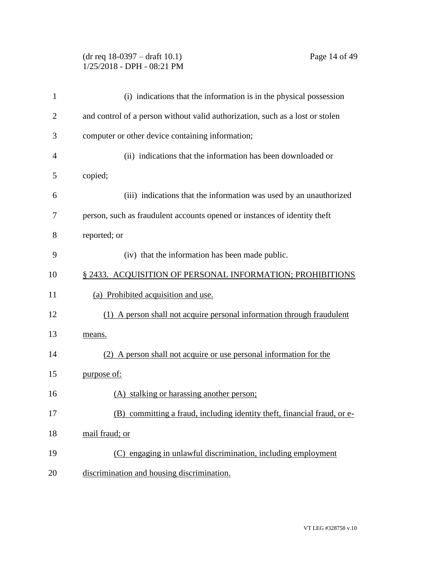### (dr req 18-0397 – draft 10.1) Page 14 of 49 1/25/2018 - DPH - 08:21 PM

| 1              | (i) indications that the information is in the physical possession            |
|----------------|-------------------------------------------------------------------------------|
| $\overline{2}$ | and control of a person without valid authorization, such as a lost or stolen |
| 3              | computer or other device containing information;                              |
| 4              | (ii) indications that the information has been downloaded or                  |
| 5              | copied;                                                                       |
| 6              | (iii) indications that the information was used by an unauthorized            |
| 7              | person, such as fraudulent accounts opened or instances of identity theft     |
| 8              | reported; or                                                                  |
| 9              | (iv) that the information has been made public.                               |
| 10             | § 2433. ACQUISITION OF PERSONAL INFORMATION; PROHIBITIONS                     |
| 11             | (a) Prohibited acquisition and use.                                           |
| 12             | (1) A person shall not acquire personal information through fraudulent        |
| 13             | means.                                                                        |
| 14             | (2) A person shall not acquire or use personal information for the            |
| 15             | purpose of:                                                                   |
| 16             | (A) stalking or harassing another person;                                     |
| 17             | (B) committing a fraud, including identity theft, financial fraud, or e-      |
| 18             | mail fraud; or                                                                |
| 19             | (C) engaging in unlawful discrimination, including employment                 |
| 20             | discrimination and housing discrimination.                                    |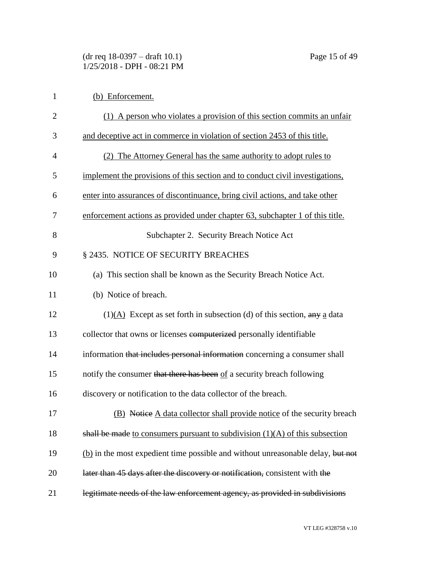| $\mathbf{1}$   | (b) Enforcement.                                                                |
|----------------|---------------------------------------------------------------------------------|
| $\overline{2}$ | (1) A person who violates a provision of this section commits an unfair         |
| 3              | and deceptive act in commerce in violation of section 2453 of this title.       |
| 4              | (2) The Attorney General has the same authority to adopt rules to               |
| 5              | implement the provisions of this section and to conduct civil investigations,   |
| 6              | enter into assurances of discontinuance, bring civil actions, and take other    |
| 7              | enforcement actions as provided under chapter 63, subchapter 1 of this title.   |
| 8              | Subchapter 2. Security Breach Notice Act                                        |
| 9              | § 2435. NOTICE OF SECURITY BREACHES                                             |
| 10             | (a) This section shall be known as the Security Breach Notice Act.              |
| 11             | (b) Notice of breach.                                                           |
| 12             | $(1)(A)$ Except as set forth in subsection (d) of this section, any a data      |
| 13             | collector that owns or licenses computerized personally identifiable            |
| 14             | information that includes personal information concerning a consumer shall      |
| 15             | notify the consumer that there has been of a security breach following          |
| 16             | discovery or notification to the data collector of the breach.                  |
| 17             | (B) Notice A data collector shall provide notice of the security breach         |
| 18             | shall be made to consumers pursuant to subdivision $(1)(A)$ of this subsection  |
| 19             | (b) in the most expedient time possible and without unreasonable delay, but not |
| 20             | later than 45 days after the discovery or notification, consistent with the     |
| 21             | legitimate needs of the law enforcement agency, as provided in subdivisions     |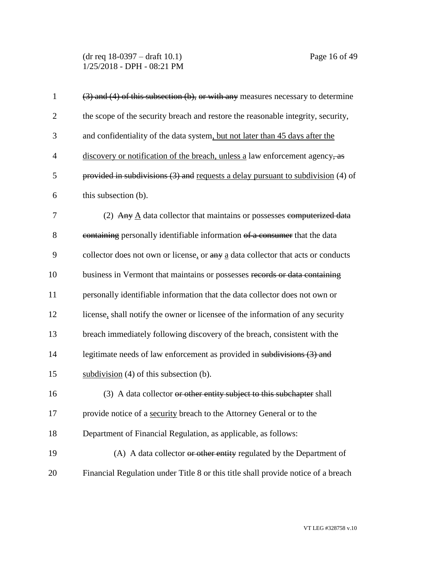(dr req 18-0397 – draft 10.1) Page 16 of 49 1/25/2018 - DPH - 08:21 PM

| $\mathbf{1}$   | $(3)$ and $(4)$ of this subsection $(b)$ , or with any measures necessary to determine |
|----------------|----------------------------------------------------------------------------------------|
| $\overline{2}$ | the scope of the security breach and restore the reasonable integrity, security,       |
| 3              | and confidentiality of the data system, but not later than 45 days after the           |
| $\overline{4}$ | discovery or notification of the breach, unless a law enforcement agency, as           |
| 5              | provided in subdivisions $(3)$ and requests a delay pursuant to subdivision $(4)$ of   |
| 6              | this subsection (b).                                                                   |
| 7              | (2) Any $\underline{A}$ data collector that maintains or possesses computerized data   |
| 8              | containing personally identifiable information of a consumer that the data             |
| 9              | collector does not own or license, or any a data collector that acts or conducts       |
| 10             | business in Vermont that maintains or possesses records or data containing             |
| 11             | personally identifiable information that the data collector does not own or            |
| 12             | license, shall notify the owner or licensee of the information of any security         |
| 13             | breach immediately following discovery of the breach, consistent with the              |
| 14             | legitimate needs of law enforcement as provided in subdivisions (3) and                |
| 15             | subdivision $(4)$ of this subsection $(b)$ .                                           |
| 16             | (3) A data collector or other entity subject to this subchapter shall                  |
| 17             | provide notice of a security breach to the Attorney General or to the                  |
| 18             | Department of Financial Regulation, as applicable, as follows:                         |
| 19             | (A) A data collector or other entity regulated by the Department of                    |
| 20             | Financial Regulation under Title 8 or this title shall provide notice of a breach      |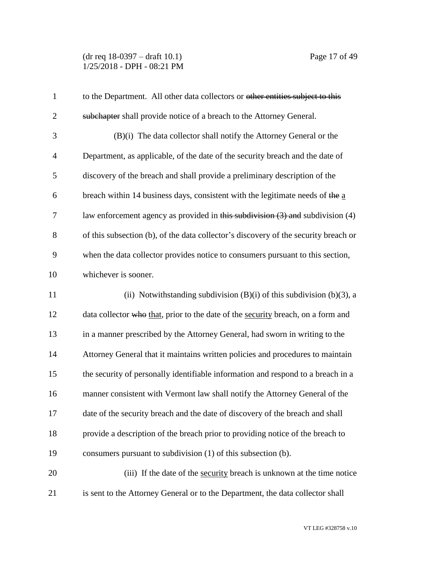(dr req 18-0397 – draft 10.1) Page 17 of 49 1/25/2018 - DPH - 08:21 PM

| $\mathbf{1}$   | to the Department. All other data collectors or other entities subject to this      |
|----------------|-------------------------------------------------------------------------------------|
| $\overline{2}$ | subchapter shall provide notice of a breach to the Attorney General.                |
| 3              | (B)(i) The data collector shall notify the Attorney General or the                  |
| $\overline{4}$ | Department, as applicable, of the date of the security breach and the date of       |
| 5              | discovery of the breach and shall provide a preliminary description of the          |
| 6              | breach within 14 business days, consistent with the legitimate needs of the a       |
| 7              | law enforcement agency as provided in this subdivision $(3)$ and subdivision $(4)$  |
| 8              | of this subsection (b), of the data collector's discovery of the security breach or |
| 9              | when the data collector provides notice to consumers pursuant to this section,      |
| 10             | whichever is sooner.                                                                |
| 11             | (ii) Notwithstanding subdivision $(B)(i)$ of this subdivision $(b)(3)$ , a          |
| 12             | data collector who that, prior to the date of the security breach, on a form and    |
| 13             | in a manner prescribed by the Attorney General, had sworn in writing to the         |
| 14             | Attorney General that it maintains written policies and procedures to maintain      |
| 15             | the security of personally identifiable information and respond to a breach in a    |
| 16             | manner consistent with Vermont law shall notify the Attorney General of the         |
| 17             | date of the security breach and the date of discovery of the breach and shall       |
| 18             | provide a description of the breach prior to providing notice of the breach to      |
| 19             | consumers pursuant to subdivision (1) of this subsection (b).                       |
| 20             | (iii) If the date of the security breach is unknown at the time notice              |
| 21             | is sent to the Attorney General or to the Department, the data collector shall      |

VT LEG #328758 v.10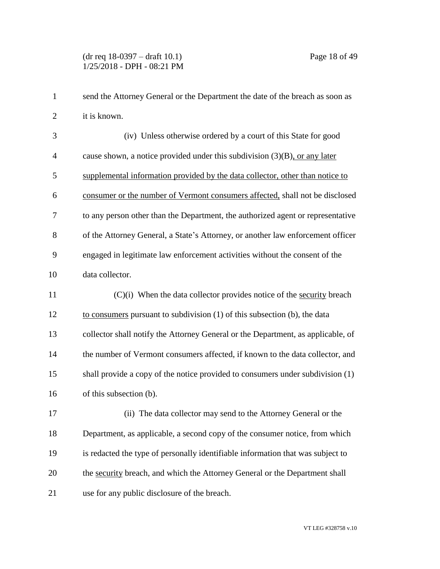1 send the Attorney General or the Department the date of the breach as soon as it is known. (iv) Unless otherwise ordered by a court of this State for good cause shown, a notice provided under this subdivision (3)(B), or any later supplemental information provided by the data collector, other than notice to consumer or the number of Vermont consumers affected, shall not be disclosed to any person other than the Department, the authorized agent or representative of the Attorney General, a State's Attorney, or another law enforcement officer engaged in legitimate law enforcement activities without the consent of the data collector. (C)(i) When the data collector provides notice of the security breach to consumers pursuant to subdivision (1) of this subsection (b), the data collector shall notify the Attorney General or the Department, as applicable, of 14 the number of Vermont consumers affected, if known to the data collector, and shall provide a copy of the notice provided to consumers under subdivision (1) of this subsection (b). (ii) The data collector may send to the Attorney General or the Department, as applicable, a second copy of the consumer notice, from which is redacted the type of personally identifiable information that was subject to the security breach, and which the Attorney General or the Department shall use for any public disclosure of the breach.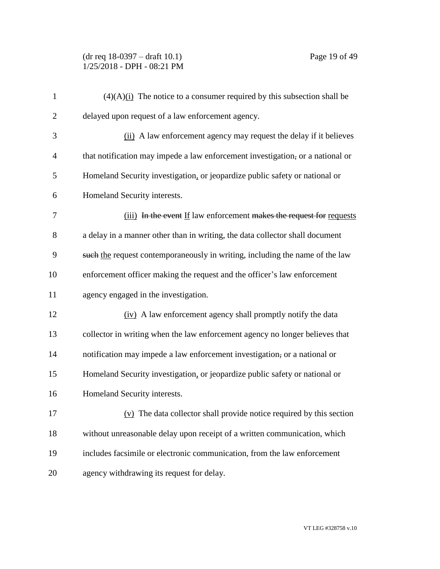(dr req 18-0397 – draft 10.1) Page 19 of 49 1/25/2018 - DPH - 08:21 PM

| $\mathbf{1}$   | $(4)(A)$ (i) The notice to a consumer required by this subsection shall be     |
|----------------|--------------------------------------------------------------------------------|
| $\overline{2}$ | delayed upon request of a law enforcement agency.                              |
| 3              | (ii) A law enforcement agency may request the delay if it believes             |
| $\overline{4}$ | that notification may impede a law enforcement investigation, or a national or |
| 5              | Homeland Security investigation, or jeopardize public safety or national or    |
| 6              | Homeland Security interests.                                                   |
| 7              | (iii) In the event If law enforcement makes the request for requests           |
| 8              | a delay in a manner other than in writing, the data collector shall document   |
| 9              | such the request contemporaneously in writing, including the name of the law   |
| 10             | enforcement officer making the request and the officer's law enforcement       |
| 11             | agency engaged in the investigation.                                           |
| 12             | (iv) A law enforcement agency shall promptly notify the data                   |
| 13             | collector in writing when the law enforcement agency no longer believes that   |
| 14             | notification may impede a law enforcement investigation, or a national or      |
| 15             | Homeland Security investigation, or jeopardize public safety or national or    |
| 16             | Homeland Security interests.                                                   |
| 17             | $(v)$ The data collector shall provide notice required by this section         |
| 18             | without unreasonable delay upon receipt of a written communication, which      |
| 19             | includes facsimile or electronic communication, from the law enforcement       |
| 20             | agency withdrawing its request for delay.                                      |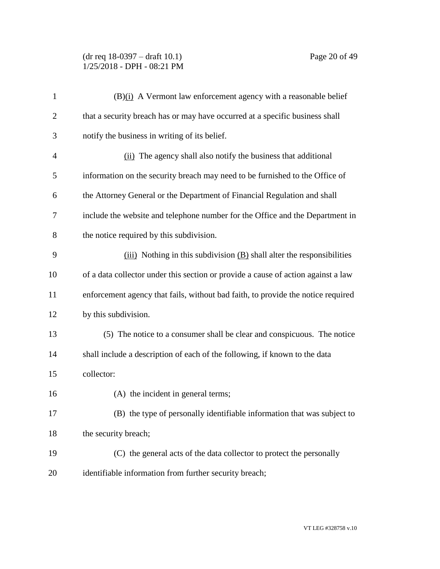(dr req 18-0397 – draft 10.1) Page 20 of 49 1/25/2018 - DPH - 08:21 PM

| $\mathbf{1}$   | (B)(i) A Vermont law enforcement agency with a reasonable belief                  |
|----------------|-----------------------------------------------------------------------------------|
| $\overline{2}$ | that a security breach has or may have occurred at a specific business shall      |
| 3              | notify the business in writing of its belief.                                     |
| $\overline{4}$ | (ii) The agency shall also notify the business that additional                    |
| 5              | information on the security breach may need to be furnished to the Office of      |
| 6              | the Attorney General or the Department of Financial Regulation and shall          |
| 7              | include the website and telephone number for the Office and the Department in     |
| 8              | the notice required by this subdivision.                                          |
| 9              | $(iii)$ Nothing in this subdivision $(B)$ shall alter the responsibilities        |
| 10             | of a data collector under this section or provide a cause of action against a law |
| 11             | enforcement agency that fails, without bad faith, to provide the notice required  |
| 12             | by this subdivision.                                                              |
| 13             | (5) The notice to a consumer shall be clear and conspicuous. The notice           |
| 14             | shall include a description of each of the following, if known to the data        |
| 15             | collector:                                                                        |
| 16             | (A) the incident in general terms;                                                |
| 17             | (B) the type of personally identifiable information that was subject to           |
| 18             | the security breach;                                                              |
| 19             | (C) the general acts of the data collector to protect the personally              |
| 20             | identifiable information from further security breach;                            |
|                |                                                                                   |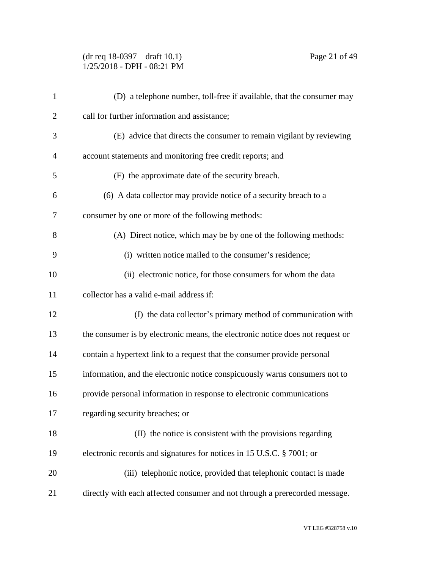(dr req 18-0397 – draft 10.1) Page 21 of 49 1/25/2018 - DPH - 08:21 PM

| $\mathbf{1}$   | (D) a telephone number, toll-free if available, that the consumer may          |
|----------------|--------------------------------------------------------------------------------|
| $\overline{2}$ | call for further information and assistance;                                   |
| 3              | (E) advice that directs the consumer to remain vigilant by reviewing           |
| $\overline{4}$ | account statements and monitoring free credit reports; and                     |
| 5              | (F) the approximate date of the security breach.                               |
| 6              | (6) A data collector may provide notice of a security breach to a              |
| 7              | consumer by one or more of the following methods:                              |
| 8              | (A) Direct notice, which may be by one of the following methods:               |
| 9              | (i) written notice mailed to the consumer's residence;                         |
| 10             | (ii) electronic notice, for those consumers for whom the data                  |
| 11             | collector has a valid e-mail address if:                                       |
| 12             | (I) the data collector's primary method of communication with                  |
| 13             | the consumer is by electronic means, the electronic notice does not request or |
| 14             | contain a hypertext link to a request that the consumer provide personal       |
| 15             | information, and the electronic notice conspicuously warns consumers not to    |
| 16             | provide personal information in response to electronic communications          |
| 17             | regarding security breaches; or                                                |
| 18             | (II) the notice is consistent with the provisions regarding                    |
| 19             | electronic records and signatures for notices in 15 U.S.C. § 7001; or          |
| 20             | (iii) telephonic notice, provided that telephonic contact is made              |
| 21             | directly with each affected consumer and not through a prerecorded message.    |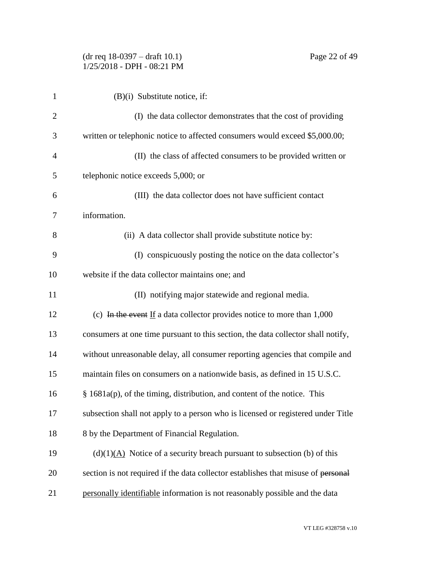| 1  | $(B)(i)$ Substitute notice, if:                                                   |
|----|-----------------------------------------------------------------------------------|
| 2  | (I) the data collector demonstrates that the cost of providing                    |
| 3  | written or telephonic notice to affected consumers would exceed \$5,000.00;       |
| 4  | (II) the class of affected consumers to be provided written or                    |
| 5  | telephonic notice exceeds 5,000; or                                               |
| 6  | (III) the data collector does not have sufficient contact                         |
| 7  | information.                                                                      |
| 8  | (ii) A data collector shall provide substitute notice by:                         |
| 9  | (I) conspicuously posting the notice on the data collector's                      |
| 10 | website if the data collector maintains one; and                                  |
| 11 | (II) notifying major statewide and regional media.                                |
| 12 | (c) In the event If a data collector provides notice to more than $1,000$         |
| 13 | consumers at one time pursuant to this section, the data collector shall notify,  |
| 14 | without unreasonable delay, all consumer reporting agencies that compile and      |
| 15 | maintain files on consumers on a nationwide basis, as defined in 15 U.S.C.        |
| 16 | $§$ 1681a(p), of the timing, distribution, and content of the notice. This        |
| 17 | subsection shall not apply to a person who is licensed or registered under Title  |
| 18 | 8 by the Department of Financial Regulation.                                      |
| 19 | $(d)(1)(A)$ Notice of a security breach pursuant to subsection (b) of this        |
| 20 | section is not required if the data collector establishes that misuse of personal |
| 21 | personally identifiable information is not reasonably possible and the data       |

VT LEG #328758 v.10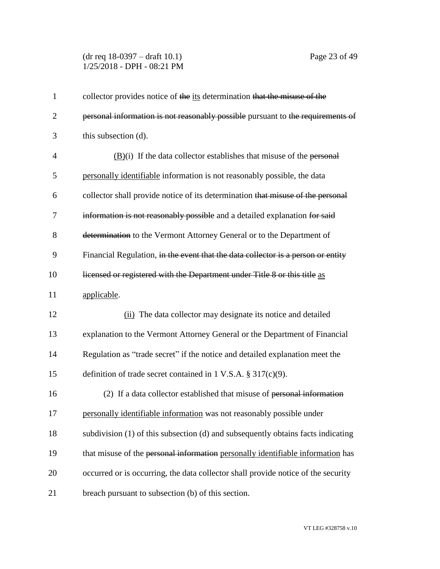(dr req 18-0397 – draft 10.1) Page 23 of 49 1/25/2018 - DPH - 08:21 PM

| $\mathbf{1}$   | collector provides notice of the its determination that the misuse of the         |
|----------------|-----------------------------------------------------------------------------------|
| $\overline{2}$ | personal information is not reasonably possible pursuant to the requirements of   |
| 3              | this subsection (d).                                                              |
| 4              | $(B)(i)$ If the data collector establishes that misuse of the personal            |
| 5              | personally identifiable information is not reasonably possible, the data          |
| 6              | collector shall provide notice of its determination that misuse of the personal   |
| 7              | information is not reasonably possible and a detailed explanation for said        |
| 8              | determination to the Vermont Attorney General or to the Department of             |
| 9              | Financial Regulation, in the event that the data collector is a person or entity  |
| 10             | licensed or registered with the Department under Title 8 or this title as         |
| 11             | applicable.                                                                       |
| 12             | (ii) The data collector may designate its notice and detailed                     |
| 13             | explanation to the Vermont Attorney General or the Department of Financial        |
| 14             | Regulation as "trade secret" if the notice and detailed explanation meet the      |
| 15             | definition of trade secret contained in 1 V.S.A. $\S 317(c)(9)$ .                 |
| 16             | (2) If a data collector established that misuse of personal information           |
| 17             | personally identifiable information was not reasonably possible under             |
| 18             | subdivision (1) of this subsection (d) and subsequently obtains facts indicating  |
| 19             | that misuse of the personal information personally identifiable information has   |
| 20             | occurred or is occurring, the data collector shall provide notice of the security |
| 21             | breach pursuant to subsection (b) of this section.                                |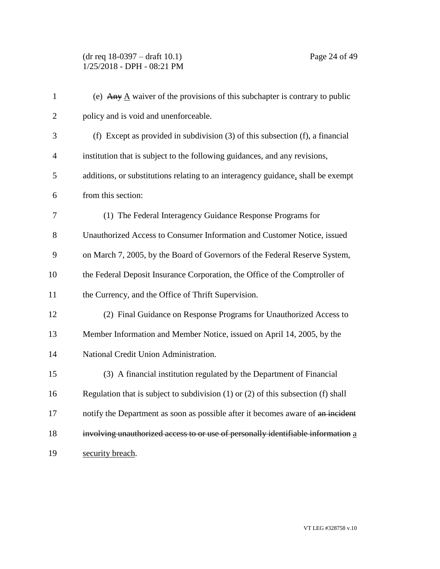| $\mathbf{1}$   | (e) Any $\underline{A}$ waiver of the provisions of this subchapter is contrary to public |
|----------------|-------------------------------------------------------------------------------------------|
| $\overline{2}$ | policy and is void and unenforceable.                                                     |
| 3              | (f) Except as provided in subdivision $(3)$ of this subsection $(f)$ , a financial        |
| $\overline{4}$ | institution that is subject to the following guidances, and any revisions,                |
| 5              | additions, or substitutions relating to an interagency guidance, shall be exempt          |
| 6              | from this section:                                                                        |
| 7              | (1) The Federal Interagency Guidance Response Programs for                                |
| 8              | Unauthorized Access to Consumer Information and Customer Notice, issued                   |
| 9              | on March 7, 2005, by the Board of Governors of the Federal Reserve System,                |
| 10             | the Federal Deposit Insurance Corporation, the Office of the Comptroller of               |
| 11             | the Currency, and the Office of Thrift Supervision.                                       |
| 12             | (2) Final Guidance on Response Programs for Unauthorized Access to                        |
| 13             | Member Information and Member Notice, issued on April 14, 2005, by the                    |
| 14             | National Credit Union Administration.                                                     |
| 15             | (3) A financial institution regulated by the Department of Financial                      |
| 16             | Regulation that is subject to subdivision $(1)$ or $(2)$ of this subsection $(f)$ shall   |
| 17             | notify the Department as soon as possible after it becomes aware of an incident           |
| 18             | involving unauthorized access to or use of personally identifiable information a          |
| 19             | security breach.                                                                          |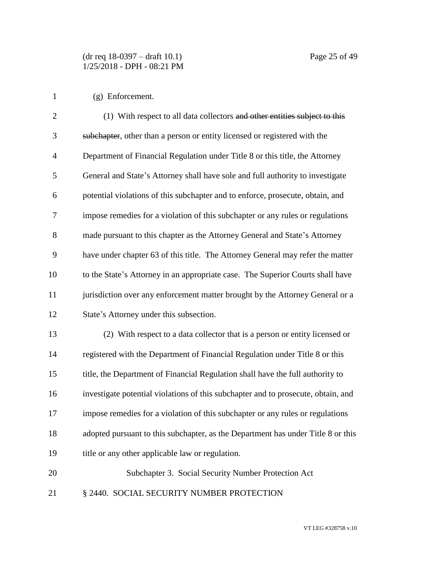(g) Enforcement.

| $\overline{2}$ | (1) With respect to all data collectors and other entities subject to this        |
|----------------|-----------------------------------------------------------------------------------|
| 3              | subchapter, other than a person or entity licensed or registered with the         |
| $\overline{4}$ | Department of Financial Regulation under Title 8 or this title, the Attorney      |
| 5              | General and State's Attorney shall have sole and full authority to investigate    |
| 6              | potential violations of this subchapter and to enforce, prosecute, obtain, and    |
| 7              | impose remedies for a violation of this subchapter or any rules or regulations    |
| 8              | made pursuant to this chapter as the Attorney General and State's Attorney        |
| 9              | have under chapter 63 of this title. The Attorney General may refer the matter    |
| 10             | to the State's Attorney in an appropriate case. The Superior Courts shall have    |
| 11             | jurisdiction over any enforcement matter brought by the Attorney General or a     |
| 12             | State's Attorney under this subsection.                                           |
| 13             | (2) With respect to a data collector that is a person or entity licensed or       |
| 14             | registered with the Department of Financial Regulation under Title 8 or this      |
| 15             | title, the Department of Financial Regulation shall have the full authority to    |
| 16             | investigate potential violations of this subchapter and to prosecute, obtain, and |
| 17             | impose remedies for a violation of this subchapter or any rules or regulations    |
| 18             | adopted pursuant to this subchapter, as the Department has under Title 8 or this  |
| 19             | title or any other applicable law or regulation.                                  |
| 20             | Subchapter 3. Social Security Number Protection Act                               |

21 § 2440. SOCIAL SECURITY NUMBER PROTECTION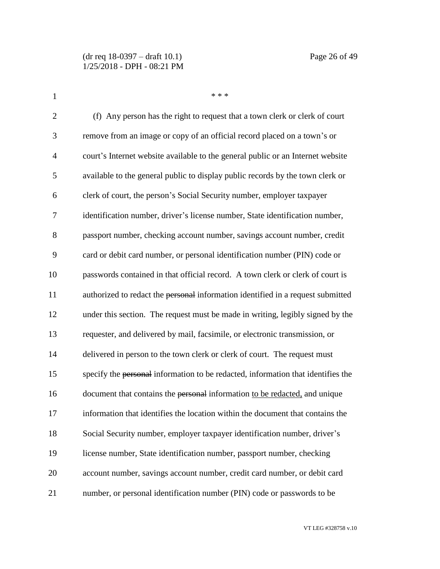| $\mathbf{1}$   | * * *                                                                            |
|----------------|----------------------------------------------------------------------------------|
| $\overline{2}$ | (f) Any person has the right to request that a town clerk or clerk of court      |
| 3              | remove from an image or copy of an official record placed on a town's or         |
| $\overline{4}$ | court's Internet website available to the general public or an Internet website  |
| 5              | available to the general public to display public records by the town clerk or   |
| 6              | clerk of court, the person's Social Security number, employer taxpayer           |
| 7              | identification number, driver's license number, State identification number,     |
| 8              | passport number, checking account number, savings account number, credit         |
| 9              | card or debit card number, or personal identification number (PIN) code or       |
| 10             | passwords contained in that official record. A town clerk or clerk of court is   |
| 11             | authorized to redact the personal information identified in a request submitted  |
| 12             | under this section. The request must be made in writing, legibly signed by the   |
| 13             | requester, and delivered by mail, facsimile, or electronic transmission, or      |
| 14             | delivered in person to the town clerk or clerk of court. The request must        |
| 15             | specify the personal information to be redacted, information that identifies the |
| 16             | document that contains the personal information to be redacted, and unique       |
| 17             | information that identifies the location within the document that contains the   |
| 18             | Social Security number, employer taxpayer identification number, driver's        |
| 19             | license number, State identification number, passport number, checking           |
| 20             | account number, savings account number, credit card number, or debit card        |
| 21             | number, or personal identification number (PIN) code or passwords to be          |

VT LEG #328758 v.10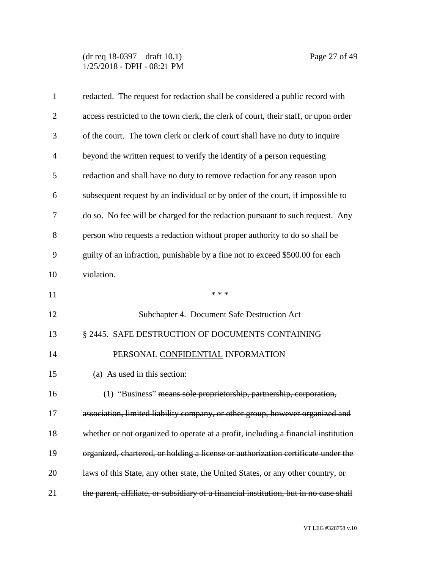(dr req 18-0397 – draft 10.1) Page 27 of 49 1/25/2018 - DPH - 08:21 PM

| $\mathbf{1}$   | redacted. The request for redaction shall be considered a public record with          |
|----------------|---------------------------------------------------------------------------------------|
| $\overline{2}$ | access restricted to the town clerk, the clerk of court, their staff, or upon order   |
| 3              | of the court. The town clerk or clerk of court shall have no duty to inquire          |
| $\overline{4}$ | beyond the written request to verify the identity of a person requesting              |
| 5              | redaction and shall have no duty to remove redaction for any reason upon              |
| 6              | subsequent request by an individual or by order of the court, if impossible to        |
| 7              | do so. No fee will be charged for the redaction pursuant to such request. Any         |
| 8              | person who requests a redaction without proper authority to do so shall be            |
| 9              | guilty of an infraction, punishable by a fine not to exceed \$500.00 for each         |
| 10             | violation.                                                                            |
| 11             | * * *                                                                                 |
| 12             | Subchapter 4. Document Safe Destruction Act                                           |
| 13             | § 2445. SAFE DESTRUCTION OF DOCUMENTS CONTAINING                                      |
| 14             | PERSONAL CONFIDENTIAL INFORMATION                                                     |
| 15             | (a) As used in this section:                                                          |
| 16             | (1) "Business" means sole proprietorship, partnership, corporation,                   |
| 17             | association, limited liability company, or other group, however organized and         |
| 18             | whether or not organized to operate at a profit, including a financial institution    |
| 19             | organized, chartered, or holding a license or authorization certificate under the     |
| 20             | laws of this State, any other state, the United States, or any other country, or      |
| 21             | the parent, affiliate, or subsidiary of a financial institution, but in no case shall |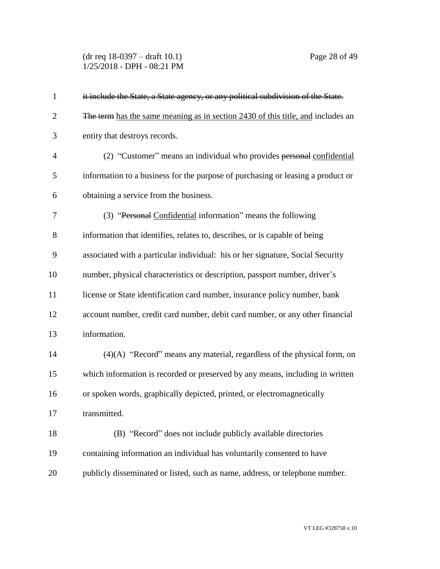(dr req 18-0397 – draft 10.1) Page 28 of 49 1/25/2018 - DPH - 08:21 PM

| $\mathbf{1}$   | it include the State, a State agency, or any political subdivision of the State. |
|----------------|----------------------------------------------------------------------------------|
| $\overline{2}$ | The term has the same meaning as in section 2430 of this title, and includes an  |
| 3              | entity that destroys records.                                                    |
| 4              | (2) "Customer" means an individual who provides personal confidential            |
| 5              | information to a business for the purpose of purchasing or leasing a product or  |
| 6              | obtaining a service from the business.                                           |
| 7              | (3) "Personal Confidential information" means the following                      |
| 8              | information that identifies, relates to, describes, or is capable of being       |
| 9              | associated with a particular individual: his or her signature, Social Security   |
| 10             | number, physical characteristics or description, passport number, driver's       |
| 11             | license or State identification card number, insurance policy number, bank       |
| 12             | account number, credit card number, debit card number, or any other financial    |
| 13             | information.                                                                     |
| 14             | (4)(A) "Record" means any material, regardless of the physical form, on          |
| 15             | which information is recorded or preserved by any means, including in written    |
| 16             | or spoken words, graphically depicted, printed, or electromagnetically           |
| 17             | transmitted.                                                                     |
| 18             | (B) "Record" does not include publicly available directories                     |
| 19             | containing information an individual has voluntarily consented to have           |
| 20             | publicly disseminated or listed, such as name, address, or telephone number.     |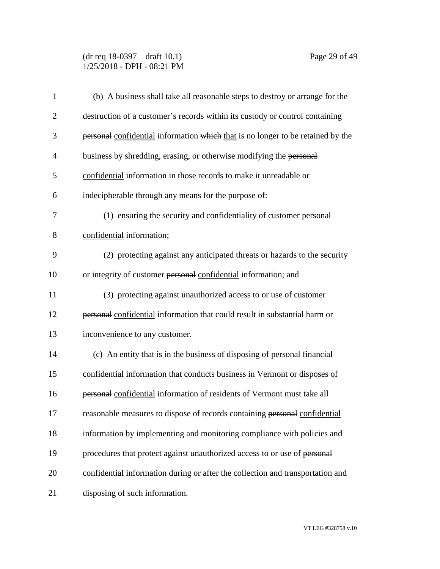# (dr req 18-0397 – draft 10.1) Page 29 of 49 1/25/2018 - DPH - 08:21 PM

| $\mathbf{1}$   | (b) A business shall take all reasonable steps to destroy or arrange for the    |
|----------------|---------------------------------------------------------------------------------|
| $\overline{c}$ | destruction of a customer's records within its custody or control containing    |
| 3              | personal confidential information which that is no longer to be retained by the |
| $\overline{4}$ | business by shredding, erasing, or otherwise modifying the personal             |
| 5              | confidential information in those records to make it unreadable or              |
| 6              | indecipherable through any means for the purpose of:                            |
| 7              | (1) ensuring the security and confidentiality of customer personal              |
| 8              | confidential information;                                                       |
| 9              | (2) protecting against any anticipated threats or hazards to the security       |
| 10             | or integrity of customer personal confidential information; and                 |
| 11             | (3) protecting against unauthorized access to or use of customer                |
| 12             | personal confidential information that could result in substantial harm or      |
| 13             | inconvenience to any customer.                                                  |
| 14             | (c) An entity that is in the business of disposing of personal financial        |
| 15             | confidential information that conducts business in Vermont or disposes of       |
| 16             | personal confidential information of residents of Vermont must take all         |
| 17             | reasonable measures to dispose of records containing personal confidential      |
| 18             | information by implementing and monitoring compliance with policies and         |
| 19             | procedures that protect against unauthorized access to or use of personal       |
| 20             | confidential information during or after the collection and transportation and  |
| 21             | disposing of such information.                                                  |

VT LEG #328758 v.10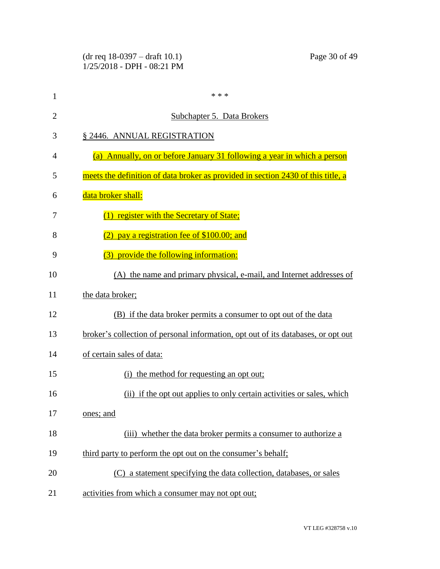|                | $(dr \text{ req } 18-0397 - draft 10.1)$<br>Page 30 of 49<br>1/25/2018 - DPH - 08:21 PM |
|----------------|-----------------------------------------------------------------------------------------|
| $\mathbf{1}$   | * * *                                                                                   |
| $\overline{2}$ | <b>Subchapter 5. Data Brokers</b>                                                       |
| 3              | § 2446. ANNUAL REGISTRATION                                                             |
| 4              | (a) Annually, on or before January 31 following a year in which a person                |
| 5              | meets the definition of data broker as provided in section 2430 of this title, a        |
| 6              | data broker shall:                                                                      |
| 7              | (1) register with the Secretary of State;                                               |
| 8              | pay a registration fee of \$100.00; and                                                 |
| 9              | (3) provide the following information:                                                  |
| 10             | (A) the name and primary physical, e-mail, and Internet addresses of                    |
| 11             | the data broker;                                                                        |
| 12             | (B) if the data broker permits a consumer to opt out of the data                        |
| 13             | broker's collection of personal information, opt out of its databases, or opt out       |
| 14             | of certain sales of data:                                                               |
| 15             | (i) the method for requesting an opt out;                                               |
| 16             | (ii) if the opt out applies to only certain activities or sales, which                  |
| 17             | ones; and                                                                               |
| 18             | (iii) whether the data broker permits a consumer to authorize a                         |
| 19             | third party to perform the opt out on the consumer's behalf;                            |
| 20             | (C) a statement specifying the data collection, databases, or sales                     |
| 21             | activities from which a consumer may not opt out;                                       |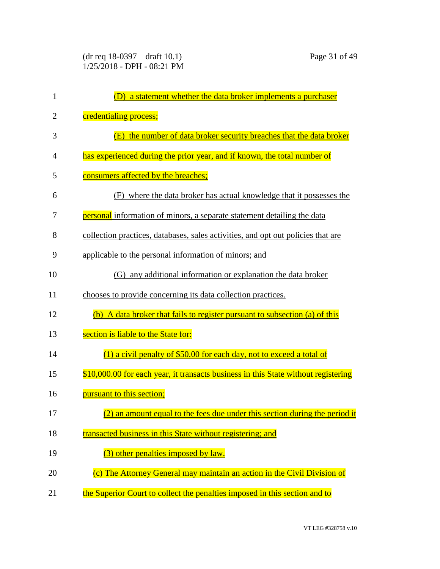| 1              | a statement whether the data broker implements a purchaser<br>(D)                  |
|----------------|------------------------------------------------------------------------------------|
| $\overline{2}$ | credentialing process;                                                             |
| 3              | (E) the number of data broker security breaches that the data broker               |
| 4              | has experienced during the prior year, and if known, the total number of           |
| 5              | consumers affected by the breaches;                                                |
| 6              | where the data broker has actual knowledge that it possesses the<br>(F)            |
| 7              | <b>personal</b> information of minors, a separate statement detailing the data     |
| 8              | collection practices, databases, sales activities, and opt out policies that are   |
| 9              | applicable to the personal information of minors; and                              |
| 10             | (G) any additional information or explanation the data broker                      |
| 11             | chooses to provide concerning its data collection practices.                       |
| 12             | (b) A data broker that fails to register pursuant to subsection (a) of this        |
| 13             | section is liable to the State for:                                                |
| 14             | $(1)$ a civil penalty of \$50.00 for each day, not to exceed a total of            |
| 15             | \$10,000.00 for each year, it transacts business in this State without registering |
| 16             | pursuant to this section;                                                          |
| 17             | (2) an amount equal to the fees due under this section during the period it        |
| 18             | transacted business in this State without registering; and                         |
| 19             | (3) other penalties imposed by law.                                                |
| 20             | (c) The Attorney General may maintain an action in the Civil Division of           |
| 21             | the Superior Court to collect the penalties imposed in this section and to         |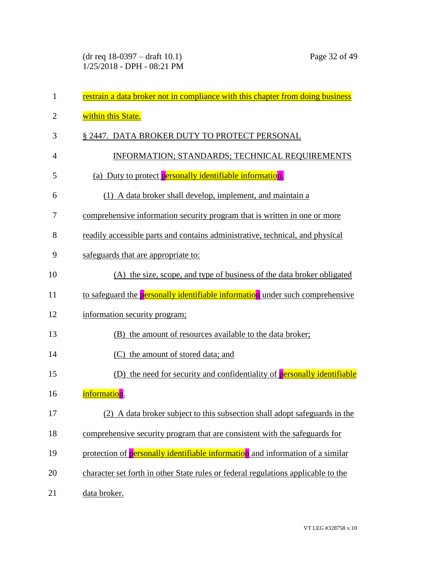| $\mathbf{1}$   | restrain a data broker not in compliance with this chapter from doing business       |
|----------------|--------------------------------------------------------------------------------------|
| $\overline{2}$ | within this State.                                                                   |
| 3              | § 2447. DATA BROKER DUTY TO PROTECT PERSONAL                                         |
| $\overline{4}$ | INFORMATION; STANDARDS; TECHNICAL REQUIREMENTS                                       |
| 5              | (a) Duty to protect <b>personally identifiable information</b> .                     |
| 6              | (1) A data broker shall develop, implement, and maintain a                           |
| 7              | comprehensive information security program that is written in one or more            |
| 8              | readily accessible parts and contains administrative, technical, and physical        |
| 9              | safeguards that are appropriate to:                                                  |
| 10             | (A) the size, scope, and type of business of the data broker obligated               |
| 11             | to safeguard the <b>personally identifiable information</b> under such comprehensive |
| 12             | information security program;                                                        |
| 13             | the amount of resources available to the data broker;<br>(B)                         |
| 14             | (C) the amount of stored data; and                                                   |
| 15             | (D) the need for security and confidentiality of <b>personally identifiable</b>      |
| 16             | information.                                                                         |
| 17             | (2) A data broker subject to this subsection shall adopt safeguards in the           |
| 18             | comprehensive security program that are consistent with the safeguards for           |
| 19             | protection of personally identifiable information and information of a similar       |
| 20             | character set forth in other State rules or federal regulations applicable to the    |
| 21             | data broker.                                                                         |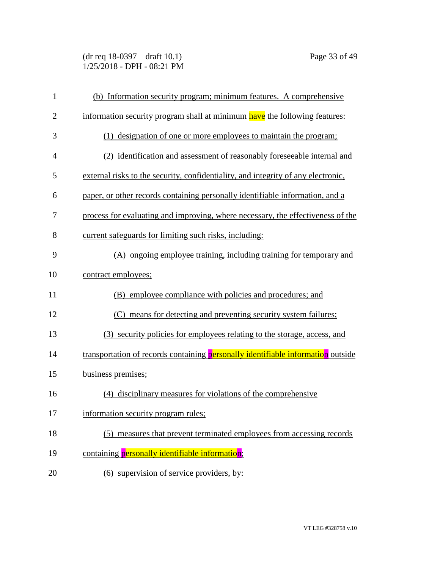(dr req 18-0397 – draft 10.1) Page 33 of 49 1/25/2018 - DPH - 08:21 PM

| $\mathbf{1}$   | (b) Information security program; minimum features. A comprehensive               |
|----------------|-----------------------------------------------------------------------------------|
| $\overline{2}$ | information security program shall at minimum have the following features:        |
| 3              | (1) designation of one or more employees to maintain the program;                 |
| $\overline{4}$ | (2) identification and assessment of reasonably foreseeable internal and          |
| 5              | external risks to the security, confidentiality, and integrity of any electronic, |
| 6              | paper, or other records containing personally identifiable information, and a     |
| 7              | process for evaluating and improving, where necessary, the effectiveness of the   |
| 8              | current safeguards for limiting such risks, including:                            |
| 9              | (A) ongoing employee training, including training for temporary and               |
| 10             | contract employees;                                                               |
| 11             | (B) employee compliance with policies and procedures; and                         |
| 12             | (C) means for detecting and preventing security system failures;                  |
| 13             | (3) security policies for employees relating to the storage, access, and          |
| 14             | transportation of records containing personally identifiable information outside  |
| 15             | business premises;                                                                |
| 16             | (4) disciplinary measures for violations of the comprehensive                     |
| 17             | information security program rules;                                               |
| 18             | (5) measures that prevent terminated employees from accessing records             |
| 19             | containing personally identifiable information;                                   |
| 20             | (6) supervision of service providers, by:                                         |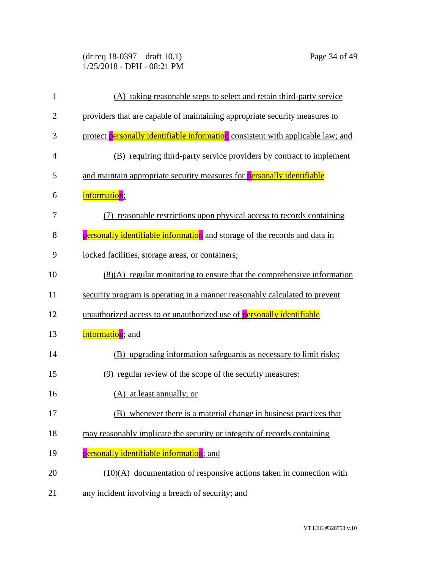(dr req 18-0397 – draft 10.1) Page 34 of 49 1/25/2018 - DPH - 08:21 PM

| $\mathbf{1}$   | (A) taking reasonable steps to select and retain third-party service            |
|----------------|---------------------------------------------------------------------------------|
| $\overline{2}$ | providers that are capable of maintaining appropriate security measures to      |
| 3              | protect personally identifiable information consistent with applicable law; and |
| $\overline{4}$ | (B) requiring third-party service providers by contract to implement            |
| 5              | and maintain appropriate security measures for <b>personally identifiable</b>   |
| 6              | information;                                                                    |
| 7              | reasonable restrictions upon physical access to records containing<br>(7)       |
| 8              | personally identifiable information and storage of the records and data in      |
| 9              | locked facilities, storage areas, or containers;                                |
| 10             | $(8)(A)$ regular monitoring to ensure that the comprehensive information        |
| 11             | security program is operating in a manner reasonably calculated to prevent      |
| 12             | unauthorized access to or unauthorized use of personally identifiable           |
| 13             | information; and                                                                |
| 14             | (B) upgrading information safeguards as necessary to limit risks;               |
| 15             | (9) regular review of the scope of the security measures:                       |
| 16             | (A) at least annually; or                                                       |
| 17             | (B) whenever there is a material change in business practices that              |
| 18             | may reasonably implicate the security or integrity of records containing        |
| 19             | personally identifiable information; and                                        |
| 20             | $(10)(A)$ documentation of responsive actions taken in connection with          |
| 21             | any incident involving a breach of security; and                                |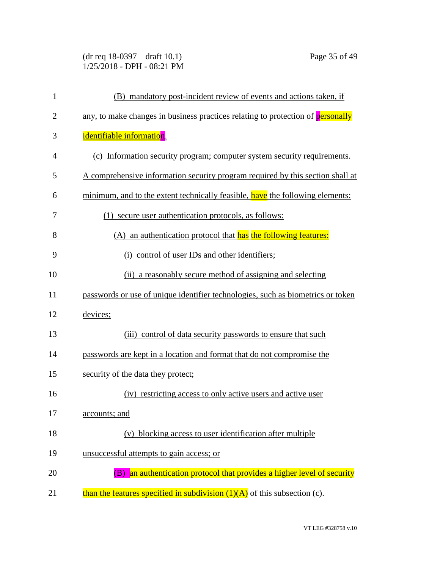(dr req 18-0397 – draft 10.1) Page 35 of 49 1/25/2018 - DPH - 08:21 PM

| $\mathbf{1}$   | (B) mandatory post-incident review of events and actions taken, if              |
|----------------|---------------------------------------------------------------------------------|
| $\overline{2}$ | any, to make changes in business practices relating to protection of personally |
| 3              | identifiable information.                                                       |
| $\overline{4}$ | (c) Information security program; computer system security requirements.        |
| 5              | A comprehensive information security program required by this section shall at  |
| 6              | minimum, and to the extent technically feasible, have the following elements:   |
| 7              | (1) secure user authentication protocols, as follows:                           |
| 8              | (A) an authentication protocol that has the following features:                 |
| 9              | (i) control of user IDs and other identifiers;                                  |
| 10             | (ii) a reasonably secure method of assigning and selecting                      |
| 11             | passwords or use of unique identifier technologies, such as biometrics or token |
| 12             | devices;                                                                        |
| 13             | (iii) control of data security passwords to ensure that such                    |
| 14             | passwords are kept in a location and format that do not compromise the          |
| 15             | security of the data they protect;                                              |
| 16             | (iv) restricting access to only active users and active user                    |
| 17             | accounts; and                                                                   |
| 18             | blocking access to user identification after multiple<br>(v)                    |
| 19             | unsuccessful attempts to gain access; or                                        |
| 20             | an authentication protocol that provides a higher level of security<br>(B)      |
| 21             | than the features specified in subdivision $(1)(A)$ of this subsection (c).     |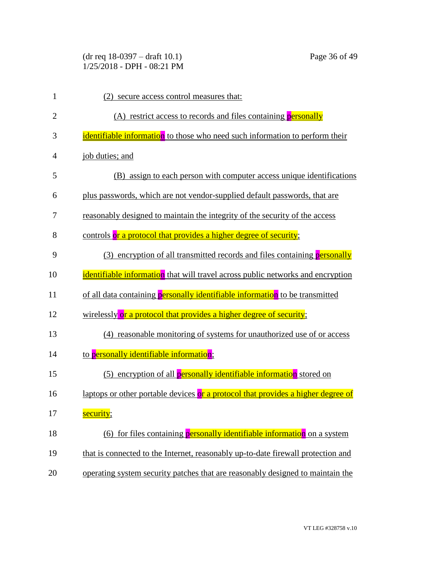(dr req 18-0397 – draft 10.1) Page 36 of 49 1/25/2018 - DPH - 08:21 PM

| $\mathbf{1}$   | (2) secure access control measures that:                                         |
|----------------|----------------------------------------------------------------------------------|
| $\overline{2}$ | (A) restrict access to records and files containing personally                   |
| 3              | identifiable information to those who need such information to perform their     |
| 4              | job duties; and                                                                  |
| 5              | (B) assign to each person with computer access unique identifications            |
| 6              | plus passwords, which are not vendor-supplied default passwords, that are        |
| 7              | reasonably designed to maintain the integrity of the security of the access      |
| 8              | controls or a protocol that provides a higher degree of security;                |
| 9              | (3) encryption of all transmitted records and files containing <b>personally</b> |
| 10             | identifiable information that will travel across public networks and encryption  |
| 11             | of all data containing personally identifiable information to be transmitted     |
| 12             | wirelessly or a protocol that provides a higher degree of security;              |
| 13             | (4) reasonable monitoring of systems for unauthorized use of or access           |
| 14             | to personally identifiable information;                                          |
| 15             | (5) encryption of all personally identifiable information stored on              |
| 16             | laptops or other portable devices or a protocol that provides a higher degree of |
| 17             | security;                                                                        |
| 18             | (6) for files containing personally identifiable information on a system         |
| 19             | that is connected to the Internet, reasonably up-to-date firewall protection and |
| 20             | operating system security patches that are reasonably designed to maintain the   |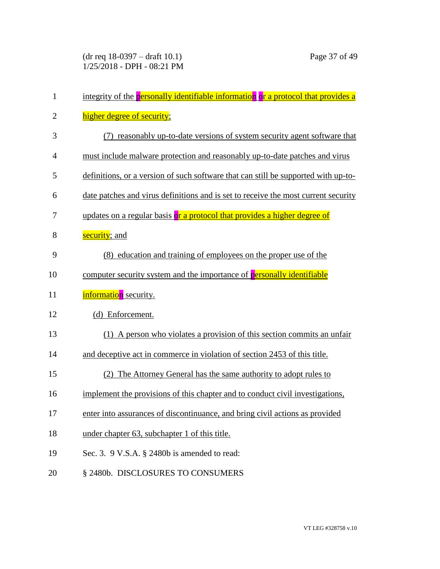| $\mathbf{1}$   | integrity of the personally identifiable information or a protocol that provides a |
|----------------|------------------------------------------------------------------------------------|
| $\overline{2}$ | higher degree of security;                                                         |
| 3              | (7) reasonably up-to-date versions of system security agent software that          |
| $\overline{4}$ | must include malware protection and reasonably up-to-date patches and virus        |
| 5              | definitions, or a version of such software that can still be supported with up-to- |
| 6              | date patches and virus definitions and is set to receive the most current security |
| 7              | updates on a regular basis or a protocol that provides a higher degree of          |
| 8              | security; and                                                                      |
| 9              | (8) education and training of employees on the proper use of the                   |
| 10             | computer security system and the importance of personally identifiable             |
| 11             | information security.                                                              |
| 12             | (d) Enforcement.                                                                   |
| 13             | (1) A person who violates a provision of this section commits an unfair            |
| 14             | and deceptive act in commerce in violation of section 2453 of this title.          |
| 15             | The Attorney General has the same authority to adopt rules to                      |
| 16             | implement the provisions of this chapter and to conduct civil investigations,      |
| 17             | enter into assurances of discontinuance, and bring civil actions as provided       |
| 18             | under chapter 63, subchapter 1 of this title.                                      |
| 19             | Sec. 3. $9$ V.S.A. § 2480b is amended to read:                                     |
| 20             | § 2480b. DISCLOSURES TO CONSUMERS                                                  |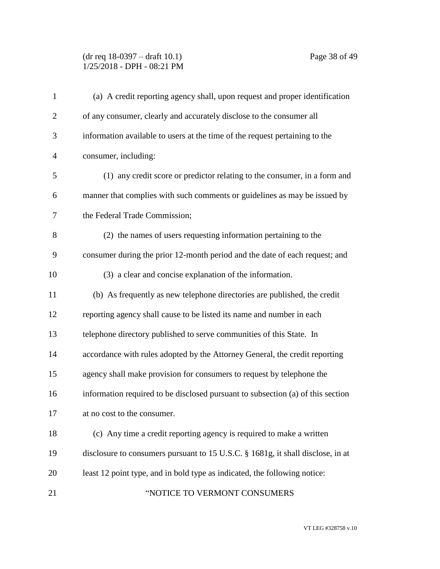# (dr req 18-0397 – draft 10.1) Page 38 of 49 1/25/2018 - DPH - 08:21 PM

| $\mathbf{1}$   | (a) A credit reporting agency shall, upon request and proper identification     |
|----------------|---------------------------------------------------------------------------------|
| $\overline{2}$ | of any consumer, clearly and accurately disclose to the consumer all            |
| 3              | information available to users at the time of the request pertaining to the     |
| $\overline{4}$ | consumer, including:                                                            |
| 5              | (1) any credit score or predictor relating to the consumer, in a form and       |
| 6              | manner that complies with such comments or guidelines as may be issued by       |
| 7              | the Federal Trade Commission;                                                   |
| 8              | (2) the names of users requesting information pertaining to the                 |
| 9              | consumer during the prior 12-month period and the date of each request; and     |
| 10             | (3) a clear and concise explanation of the information.                         |
| 11             | (b) As frequently as new telephone directories are published, the credit        |
| 12             | reporting agency shall cause to be listed its name and number in each           |
| 13             | telephone directory published to serve communities of this State. In            |
| 14             | accordance with rules adopted by the Attorney General, the credit reporting     |
| 15             | agency shall make provision for consumers to request by telephone the           |
| 16             | information required to be disclosed pursuant to subsection (a) of this section |
| 17             | at no cost to the consumer.                                                     |
| 18             | (c) Any time a credit reporting agency is required to make a written            |
| 19             | disclosure to consumers pursuant to 15 U.S.C. § 1681g, it shall disclose, in at |
| 20             | least 12 point type, and in bold type as indicated, the following notice:       |
| 21             | "NOTICE TO VERMONT CONSUMERS                                                    |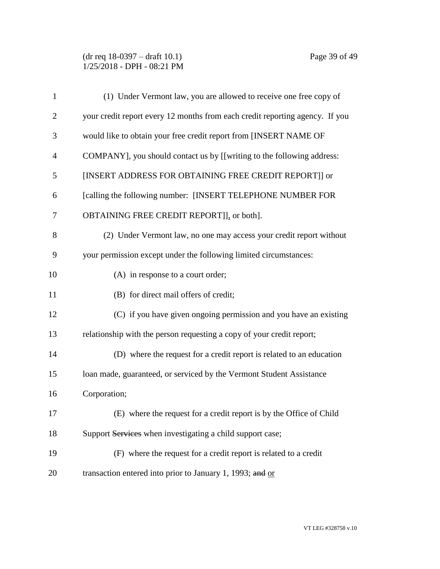(dr req 18-0397 – draft 10.1) Page 39 of 49 1/25/2018 - DPH - 08:21 PM

| $\mathbf{1}$   | (1) Under Vermont law, you are allowed to receive one free copy of           |
|----------------|------------------------------------------------------------------------------|
| $\overline{2}$ | your credit report every 12 months from each credit reporting agency. If you |
| 3              | would like to obtain your free credit report from [INSERT NAME OF            |
| 4              | COMPANY], you should contact us by [[writing to the following address:       |
| 5              | [INSERT ADDRESS FOR OBTAINING FREE CREDIT REPORT]] or                        |
| 6              | [calling the following number: [INSERT TELEPHONE NUMBER FOR                  |
| 7              | OBTAINING FREE CREDIT REPORT]], or both].                                    |
| 8              | (2) Under Vermont law, no one may access your credit report without          |
| 9              | your permission except under the following limited circumstances:            |
| 10             | (A) in response to a court order;                                            |
| 11             | (B) for direct mail offers of credit;                                        |
| 12             | (C) if you have given ongoing permission and you have an existing            |
| 13             | relationship with the person requesting a copy of your credit report;        |
| 14             | (D) where the request for a credit report is related to an education         |
| 15             | loan made, guaranteed, or serviced by the Vermont Student Assistance         |
| 16             | Corporation;                                                                 |
| 17             | (E) where the request for a credit report is by the Office of Child          |
| 18             | Support Services when investigating a child support case;                    |
| 19             | (F) where the request for a credit report is related to a credit             |
| 20             | transaction entered into prior to January 1, 1993; and or                    |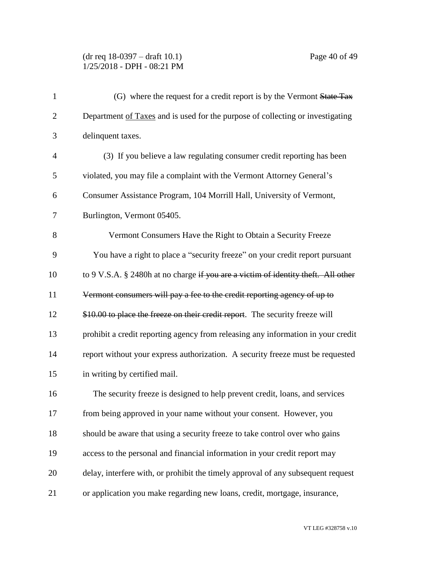## (dr req 18-0397 – draft 10.1) Page 40 of 49 1/25/2018 - DPH - 08:21 PM

| $\mathbf{1}$   | (G) where the request for a credit report is by the Vermont State Tax             |
|----------------|-----------------------------------------------------------------------------------|
| $\overline{2}$ | Department of Taxes and is used for the purpose of collecting or investigating    |
| 3              | delinquent taxes.                                                                 |
| $\overline{4}$ | (3) If you believe a law regulating consumer credit reporting has been            |
| 5              | violated, you may file a complaint with the Vermont Attorney General's            |
| 6              | Consumer Assistance Program, 104 Morrill Hall, University of Vermont,             |
| 7              | Burlington, Vermont 05405.                                                        |
| 8              | Vermont Consumers Have the Right to Obtain a Security Freeze                      |
| 9              | You have a right to place a "security freeze" on your credit report pursuant      |
| 10             | to 9 V.S.A. § 2480h at no charge if you are a victim of identity theft. All other |
| 11             | Vermont consumers will pay a fee to the credit reporting agency of up to          |
| 12             | \$10.00 to place the freeze on their credit report. The security freeze will      |
| 13             | prohibit a credit reporting agency from releasing any information in your credit  |
| 14             | report without your express authorization. A security freeze must be requested    |
| 15             | in writing by certified mail.                                                     |
| 16             | The security freeze is designed to help prevent credit, loans, and services       |
| 17             | from being approved in your name without your consent. However, you               |
| 18             | should be aware that using a security freeze to take control over who gains       |
| 19             | access to the personal and financial information in your credit report may        |
| 20             | delay, interfere with, or prohibit the timely approval of any subsequent request  |
| 21             | or application you make regarding new loans, credit, mortgage, insurance,         |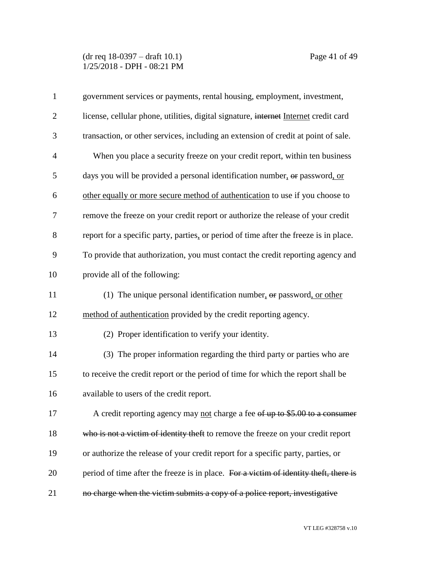(dr req 18-0397 – draft 10.1) Page 41 of 49 1/25/2018 - DPH - 08:21 PM

| $\mathbf{1}$   | government services or payments, rental housing, employment, investment,              |
|----------------|---------------------------------------------------------------------------------------|
| $\overline{2}$ | license, cellular phone, utilities, digital signature, internet Internet credit card  |
| 3              | transaction, or other services, including an extension of credit at point of sale.    |
| $\overline{4}$ | When you place a security freeze on your credit report, within ten business           |
| 5              | days you will be provided a personal identification number, or password, or           |
| 6              | other equally or more secure method of authentication to use if you choose to         |
| 7              | remove the freeze on your credit report or authorize the release of your credit       |
| 8              | report for a specific party, parties, or period of time after the freeze is in place. |
| 9              | To provide that authorization, you must contact the credit reporting agency and       |
| 10             | provide all of the following:                                                         |
| 11             | (1) The unique personal identification number, $\theta$ password, or other            |
| 12             | method of authentication provided by the credit reporting agency.                     |
| 13             | (2) Proper identification to verify your identity.                                    |
| 14             | (3) The proper information regarding the third party or parties who are               |
| 15             | to receive the credit report or the period of time for which the report shall be      |
| 16             | available to users of the credit report.                                              |
| 17             | A credit reporting agency may not charge a fee of up to \$5.00 to a consumer          |
| 18             | who is not a victim of identity theft to remove the freeze on your credit report      |
| 19             | or authorize the release of your credit report for a specific party, parties, or      |
| 20             | period of time after the freeze is in place. For a victim of identity theft, there is |
| 21             | no charge when the victim submits a copy of a police report, investigative            |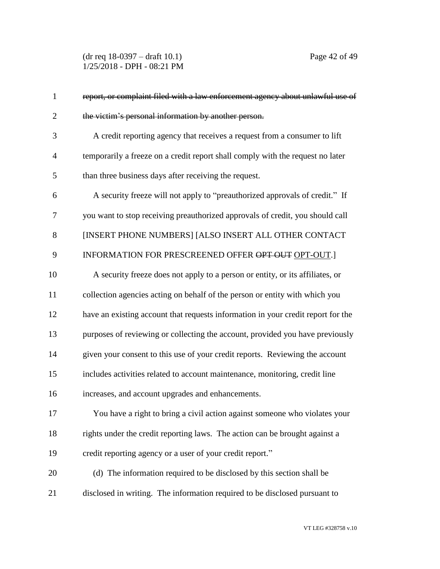(dr req 18-0397 – draft 10.1) Page 42 of 49 1/25/2018 - DPH - 08:21 PM

| $\mathbf{1}$   | report, or complaint filed with a law enforcement agency about unlawful use of   |
|----------------|----------------------------------------------------------------------------------|
| $\overline{2}$ | the victim's personal information by another person.                             |
| 3              | A credit reporting agency that receives a request from a consumer to lift        |
| $\overline{4}$ | temporarily a freeze on a credit report shall comply with the request no later   |
| 5              | than three business days after receiving the request.                            |
| 6              | A security freeze will not apply to "preauthorized approvals of credit." If      |
| 7              | you want to stop receiving preauthorized approvals of credit, you should call    |
| 8              | [INSERT PHONE NUMBERS] [ALSO INSERT ALL OTHER CONTACT                            |
| 9              | INFORMATION FOR PRESCREENED OFFER OPT OUT OPT-OUT.                               |
| 10             | A security freeze does not apply to a person or entity, or its affiliates, or    |
| 11             | collection agencies acting on behalf of the person or entity with which you      |
| 12             | have an existing account that requests information in your credit report for the |
| 13             | purposes of reviewing or collecting the account, provided you have previously    |
| 14             | given your consent to this use of your credit reports. Reviewing the account     |
| 15             | includes activities related to account maintenance, monitoring, credit line      |
| 16             | increases, and account upgrades and enhancements.                                |
| 17             | You have a right to bring a civil action against someone who violates your       |
| 18             | rights under the credit reporting laws. The action can be brought against a      |
| 19             | credit reporting agency or a user of your credit report."                        |
| 20             | (d) The information required to be disclosed by this section shall be            |
| 21             | disclosed in writing. The information required to be disclosed pursuant to       |
|                |                                                                                  |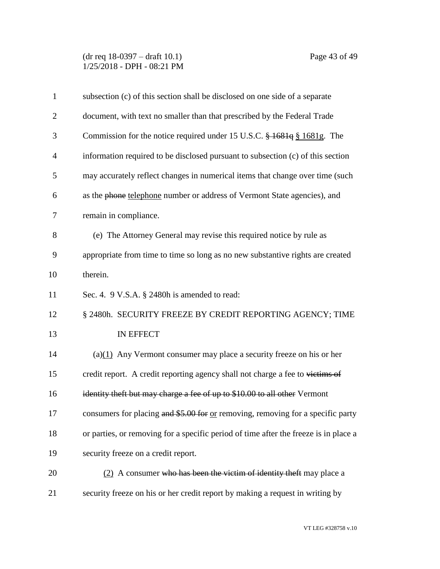(dr req 18-0397 – draft 10.1) Page 43 of 49 1/25/2018 - DPH - 08:21 PM

| $\mathbf{1}$   | subsection (c) of this section shall be disclosed on one side of a separate          |
|----------------|--------------------------------------------------------------------------------------|
| $\overline{2}$ | document, with text no smaller than that prescribed by the Federal Trade             |
| 3              | Commission for the notice required under 15 U.S.C. $\frac{1681q}{1681g}$ . The       |
| $\overline{4}$ | information required to be disclosed pursuant to subsection (c) of this section      |
| 5              | may accurately reflect changes in numerical items that change over time (such        |
| 6              | as the phone telephone number or address of Vermont State agencies), and             |
| 7              | remain in compliance.                                                                |
| 8              | (e) The Attorney General may revise this required notice by rule as                  |
| 9              | appropriate from time to time so long as no new substantive rights are created       |
| 10             | therein.                                                                             |
| 11             | Sec. 4. 9 V.S.A. § 2480h is amended to read:                                         |
| 12             | § 2480h. SECURITY FREEZE BY CREDIT REPORTING AGENCY; TIME                            |
| 13             | IN EFFECT                                                                            |
| 14             | (a) $(1)$ Any Vermont consumer may place a security freeze on his or her             |
| 15             | credit report. A credit reporting agency shall not charge a fee to victims of        |
| 16             | identity theft but may charge a fee of up to \$10.00 to all other Vermont            |
| 17             | consumers for placing and \$5.00 for or removing, removing for a specific party      |
| 18             | or parties, or removing for a specific period of time after the freeze is in place a |
| 19             | security freeze on a credit report.                                                  |
| 20             | (2) A consumer who has been the victim of identity theft may place a                 |
| 21             | security freeze on his or her credit report by making a request in writing by        |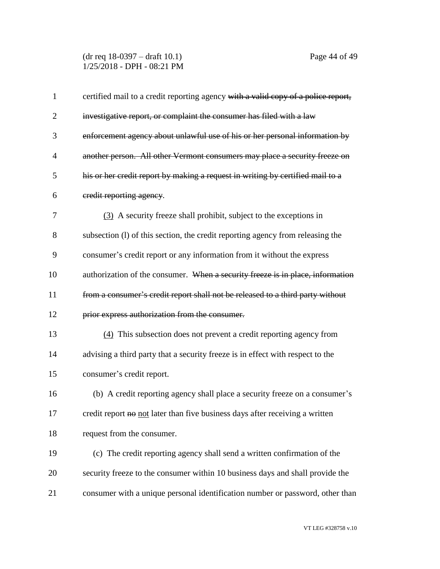(dr req 18-0397 – draft 10.1) Page 44 of 49 1/25/2018 - DPH - 08:21 PM

| $\mathbf 1$    | certified mail to a credit reporting agency with a valid copy of a police report, |
|----------------|-----------------------------------------------------------------------------------|
| $\overline{2}$ | investigative report, or complaint the consumer has filed with a law              |
| 3              | enforcement agency about unlawful use of his or her personal information by       |
| 4              | another person. All other Vermont consumers may place a security freeze on        |
| 5              | his or her credit report by making a request in writing by certified mail to a    |
| 6              | credit reporting agency.                                                          |
| 7              | (3) A security freeze shall prohibit, subject to the exceptions in                |
| 8              | subsection (1) of this section, the credit reporting agency from releasing the    |
| 9              | consumer's credit report or any information from it without the express           |
| 10             | authorization of the consumer. When a security freeze is in place, information    |
| 11             | from a consumer's credit report shall not be released to a third party without    |
| 12             | prior express authorization from the consumer.                                    |
| 13             | (4) This subsection does not prevent a credit reporting agency from               |
| 14             | advising a third party that a security freeze is in effect with respect to the    |
| 15             | consumer's credit report.                                                         |
| 16             | (b) A credit reporting agency shall place a security freeze on a consumer's       |
| 17             | credit report no not later than five business days after receiving a written      |
| 18             | request from the consumer.                                                        |
| 19             | (c) The credit reporting agency shall send a written confirmation of the          |
| 20             | security freeze to the consumer within 10 business days and shall provide the     |
| 21             | consumer with a unique personal identification number or password, other than     |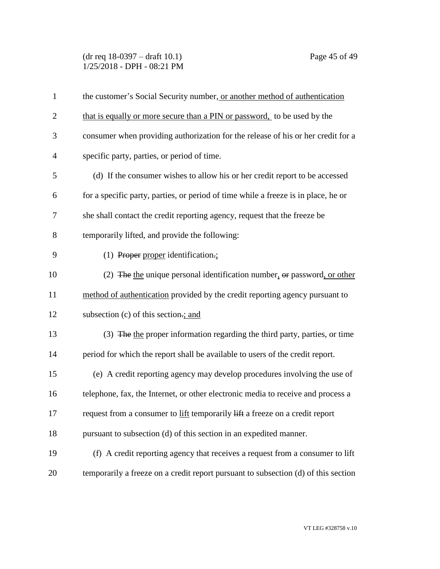(dr req 18-0397 – draft 10.1) Page 45 of 49 1/25/2018 - DPH - 08:21 PM

| $\mathbf{1}$   | the customer's Social Security number, or another method of authentication         |
|----------------|------------------------------------------------------------------------------------|
| $\overline{2}$ | that is equally or more secure than a PIN or password, to be used by the           |
| 3              | consumer when providing authorization for the release of his or her credit for a   |
| 4              | specific party, parties, or period of time.                                        |
| 5              | (d) If the consumer wishes to allow his or her credit report to be accessed        |
| 6              | for a specific party, parties, or period of time while a freeze is in place, he or |
| 7              | she shall contact the credit reporting agency, request that the freeze be          |
| 8              | temporarily lifted, and provide the following:                                     |
| 9              | (1) Proper proper identification.                                                  |
| 10             | (2) The the unique personal identification number, $\theta$ re password, or other  |
| 11             | method of authentication provided by the credit reporting agency pursuant to       |
| 12             | subsection (c) of this section.; and                                               |
| 13             | (3) The the proper information regarding the third party, parties, or time         |
| 14             | period for which the report shall be available to users of the credit report.      |
| 15             | (e) A credit reporting agency may develop procedures involving the use of          |
| 16             | telephone, fax, the Internet, or other electronic media to receive and process a   |
| 17             | request from a consumer to lift temporarily lift a freeze on a credit report       |
| 18             | pursuant to subsection (d) of this section in an expedited manner.                 |
| 19             | (f) A credit reporting agency that receives a request from a consumer to lift      |
| 20             | temporarily a freeze on a credit report pursuant to subsection (d) of this section |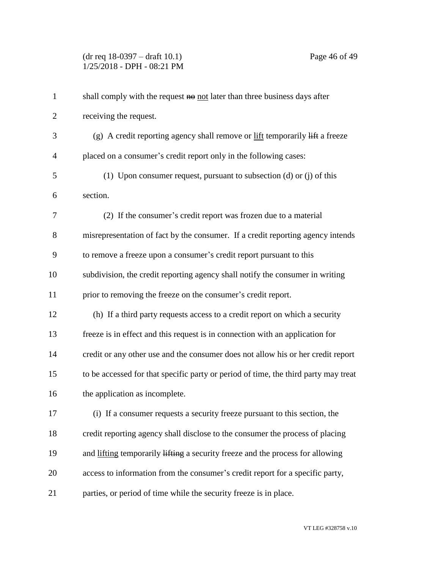(dr req 18-0397 – draft 10.1) Page 46 of 49 1/25/2018 - DPH - 08:21 PM

| $\mathbf{1}$   | shall comply with the request no not later than three business days after                          |
|----------------|----------------------------------------------------------------------------------------------------|
| $\overline{2}$ | receiving the request.                                                                             |
| 3              | (g) A credit reporting agency shall remove or $\frac{if}{if}$ temporarily $\frac{if}{if}$ a freeze |
| $\overline{4}$ | placed on a consumer's credit report only in the following cases:                                  |
| 5              | (1) Upon consumer request, pursuant to subsection (d) or (j) of this                               |
| 6              | section.                                                                                           |
| 7              | (2) If the consumer's credit report was frozen due to a material                                   |
| 8              | misrepresentation of fact by the consumer. If a credit reporting agency intends                    |
| 9              | to remove a freeze upon a consumer's credit report pursuant to this                                |
| 10             | subdivision, the credit reporting agency shall notify the consumer in writing                      |
| 11             | prior to removing the freeze on the consumer's credit report.                                      |
| 12             | (h) If a third party requests access to a credit report on which a security                        |
| 13             | freeze is in effect and this request is in connection with an application for                      |
| 14             | credit or any other use and the consumer does not allow his or her credit report                   |
| 15             | to be accessed for that specific party or period of time, the third party may treat                |
| 16             | the application as incomplete.                                                                     |
| 17             | (i) If a consumer requests a security freeze pursuant to this section, the                         |
| 18             | credit reporting agency shall disclose to the consumer the process of placing                      |
| 19             | and lifting temporarily lifting a security freeze and the process for allowing                     |
| 20             | access to information from the consumer's credit report for a specific party,                      |
| 21             | parties, or period of time while the security freeze is in place.                                  |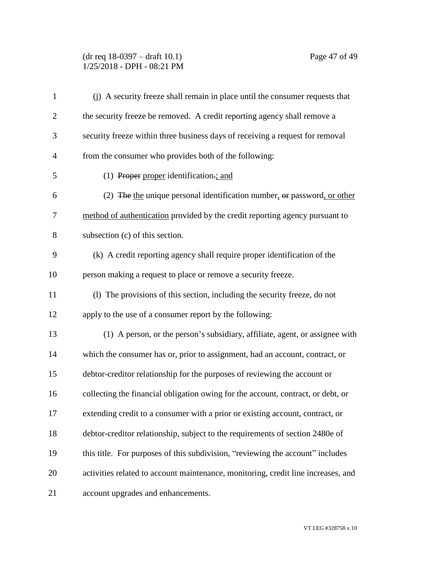### (dr req 18-0397 – draft 10.1) Page 47 of 49 1/25/2018 - DPH - 08:21 PM

| $\mathbf{1}$   | (j) A security freeze shall remain in place until the consumer requests that      |
|----------------|-----------------------------------------------------------------------------------|
| $\overline{2}$ | the security freeze be removed. A credit reporting agency shall remove a          |
| 3              | security freeze within three business days of receiving a request for removal     |
| $\overline{4}$ | from the consumer who provides both of the following:                             |
| 5              | (1) Proper proper identification.; and                                            |
| 6              | (2) The the unique personal identification number, $\theta$ password, or other    |
| 7              | method of authentication provided by the credit reporting agency pursuant to      |
| 8              | subsection (c) of this section.                                                   |
| 9              | (k) A credit reporting agency shall require proper identification of the          |
| 10             | person making a request to place or remove a security freeze.                     |
| 11             | (1) The provisions of this section, including the security freeze, do not         |
| 12             | apply to the use of a consumer report by the following:                           |
| 13             | (1) A person, or the person's subsidiary, affiliate, agent, or assignee with      |
| 14             | which the consumer has or, prior to assignment, had an account, contract, or      |
| 15             | debtor-creditor relationship for the purposes of reviewing the account or         |
| 16             | collecting the financial obligation owing for the account, contract, or debt, or  |
| 17             | extending credit to a consumer with a prior or existing account, contract, or     |
| 18             | debtor-creditor relationship, subject to the requirements of section 2480e of     |
| 19             | this title. For purposes of this subdivision, "reviewing the account" includes    |
| 20             | activities related to account maintenance, monitoring, credit line increases, and |
| 21             | account upgrades and enhancements.                                                |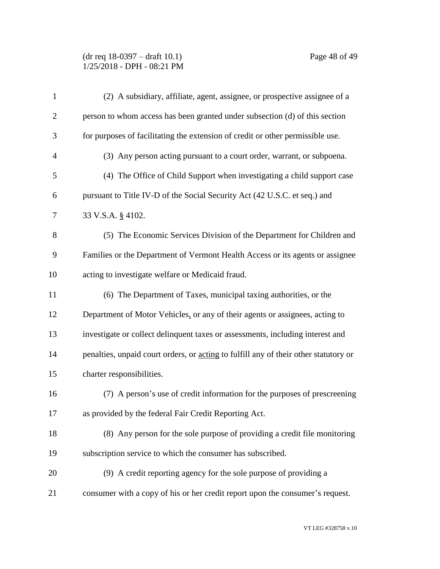(dr req 18-0397 – draft 10.1) Page 48 of 49 1/25/2018 - DPH - 08:21 PM

| $\mathbf{1}$   | (2) A subsidiary, affiliate, agent, assignee, or prospective assignee of a           |
|----------------|--------------------------------------------------------------------------------------|
| $\overline{2}$ | person to whom access has been granted under subsection (d) of this section          |
| 3              | for purposes of facilitating the extension of credit or other permissible use.       |
| $\overline{4}$ | (3) Any person acting pursuant to a court order, warrant, or subpoena.               |
| 5              | (4) The Office of Child Support when investigating a child support case              |
| 6              | pursuant to Title IV-D of the Social Security Act (42 U.S.C. et seq.) and            |
| 7              | 33 V.S.A. § 4102.                                                                    |
| 8              | (5) The Economic Services Division of the Department for Children and                |
| 9              | Families or the Department of Vermont Health Access or its agents or assignee        |
| 10             | acting to investigate welfare or Medicaid fraud.                                     |
| 11             | (6) The Department of Taxes, municipal taxing authorities, or the                    |
| 12             | Department of Motor Vehicles, or any of their agents or assignees, acting to         |
| 13             | investigate or collect delinquent taxes or assessments, including interest and       |
| 14             | penalties, unpaid court orders, or acting to fulfill any of their other statutory or |
| 15             | charter responsibilities.                                                            |
| 16             | (7) A person's use of credit information for the purposes of prescreening            |
| 17             | as provided by the federal Fair Credit Reporting Act.                                |
| 18             | (8) Any person for the sole purpose of providing a credit file monitoring            |
| 19             | subscription service to which the consumer has subscribed.                           |
| 20             | (9) A credit reporting agency for the sole purpose of providing a                    |
| 21             | consumer with a copy of his or her credit report upon the consumer's request.        |